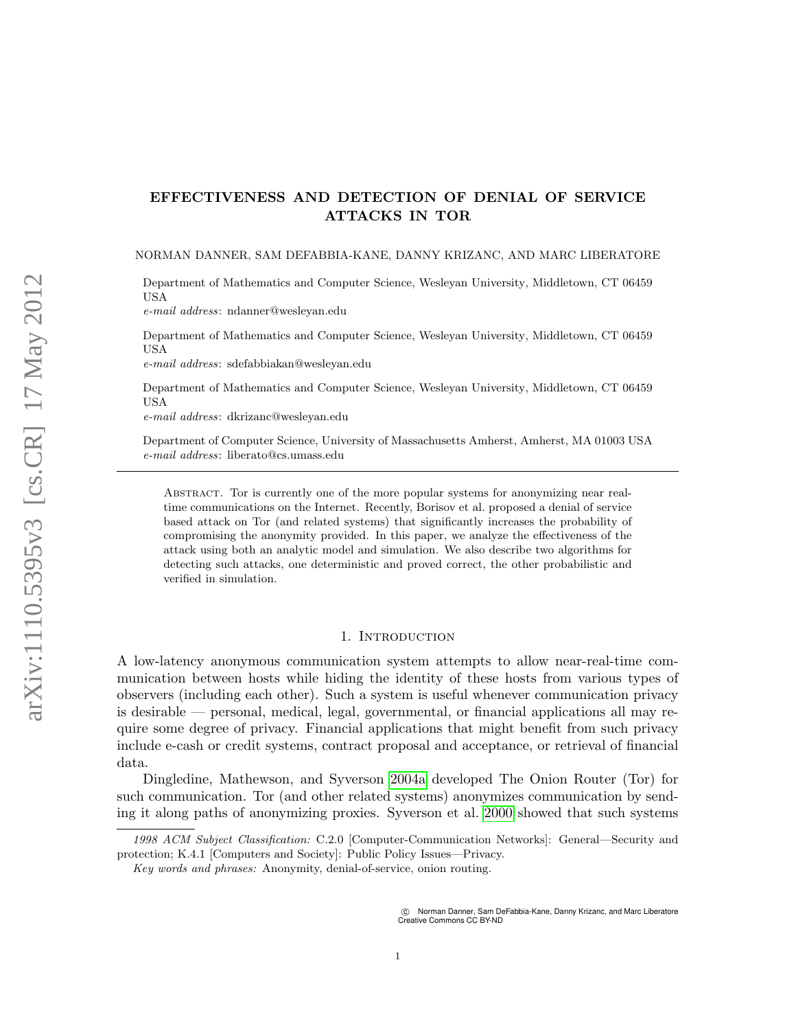# EFFECTIVENESS AND DETECTION OF DENIAL OF SERVICE ATTACKS IN TOR

#### NORMAN DANNER, SAM DEFABBIA-KANE, DANNY KRIZANC, AND MARC LIBERATORE

Department of Mathematics and Computer Science, Wesleyan University, Middletown, CT 06459 USA

e-mail address: ndanner@wesleyan.edu

Department of Mathematics and Computer Science, Wesleyan University, Middletown, CT 06459 **USA** 

e-mail address: sdefabbiakan@wesleyan.edu

Department of Mathematics and Computer Science, Wesleyan University, Middletown, CT 06459 USA

e-mail address: dkrizanc@wesleyan.edu

Department of Computer Science, University of Massachusetts Amherst, Amherst, MA 01003 USA e-mail address: liberato@cs.umass.edu

Abstract. Tor is currently one of the more popular systems for anonymizing near realtime communications on the Internet. Recently, Borisov et al. proposed a denial of service based attack on Tor (and related systems) that significantly increases the probability of compromising the anonymity provided. In this paper, we analyze the effectiveness of the attack using both an analytic model and simulation. We also describe two algorithms for detecting such attacks, one deterministic and proved correct, the other probabilistic and verified in simulation.

## 1. INTRODUCTION

A low-latency anonymous communication system attempts to allow near-real-time communication between hosts while hiding the identity of these hosts from various types of observers (including each other). Such a system is useful whenever communication privacy is desirable — personal, medical, legal, governmental, or financial applications all may require some degree of privacy. Financial applications that might benefit from such privacy include e-cash or credit systems, contract proposal and acceptance, or retrieval of financial data.

Dingledine, Mathewson, and Syverson [2004a](#page-26-0) developed The Onion Router (Tor) for such communication. Tor (and other related systems) anonymizes communication by sending it along paths of anonymizing proxies. Syverson et al. [2000](#page-27-0) showed that such systems

(C) Norman Danner, Sam DeFabbia-Kane, Danny Krizanc, and Marc Liberatore Creative Commons CC BY-ND

<sup>1998</sup> ACM Subject Classification: C.2.0 [Computer-Communication Networks]: General—Security and protection; K.4.1 [Computers and Society]: Public Policy Issues—Privacy.

Key words and phrases: Anonymity, denial-of-service, onion routing.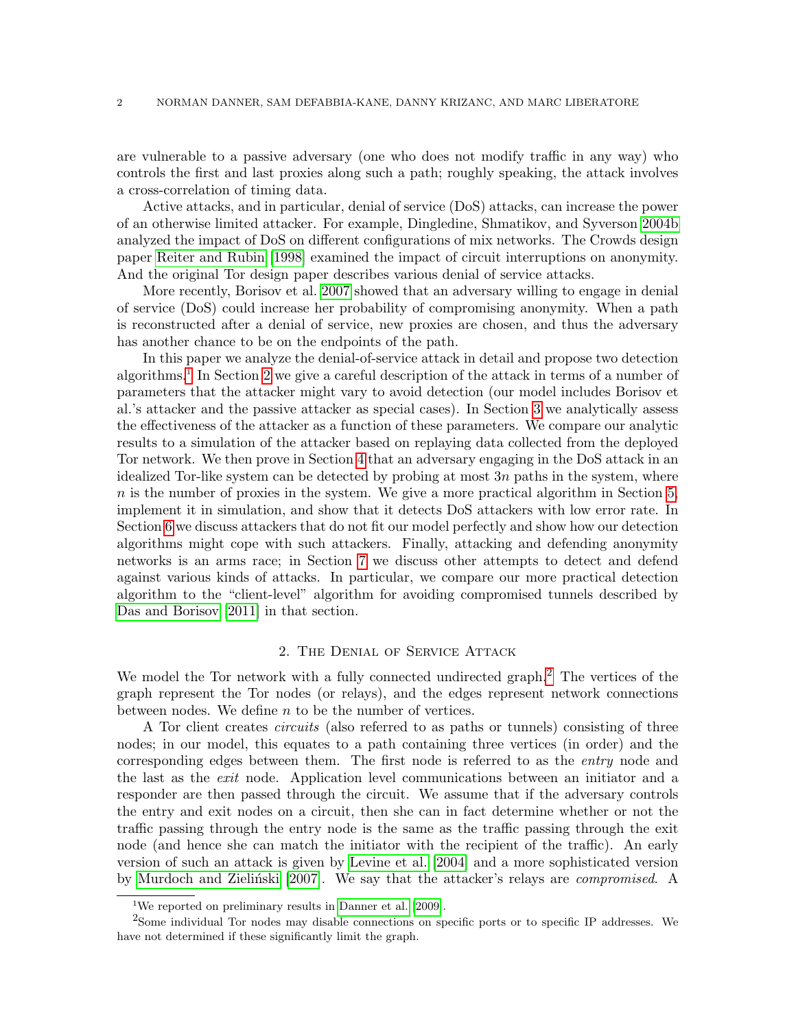are vulnerable to a passive adversary (one who does not modify traffic in any way) who controls the first and last proxies along such a path; roughly speaking, the attack involves a cross-correlation of timing data.

Active attacks, and in particular, denial of service (DoS) attacks, can increase the power of an otherwise limited attacker. For example, Dingledine, Shmatikov, and Syverson [2004b](#page-26-1) analyzed the impact of DoS on different configurations of mix networks. The Crowds design paper [Reiter and Rubin](#page-26-2) [\[1998\]](#page-26-2) examined the impact of circuit interruptions on anonymity. And the original Tor design paper describes various denial of service attacks.

More recently, Borisov et al. [2007](#page-26-3) showed that an adversary willing to engage in denial of service (DoS) could increase her probability of compromising anonymity. When a path is reconstructed after a denial of service, new proxies are chosen, and thus the adversary has another chance to be on the endpoints of the path.

In this paper we analyze the denial-of-service attack in detail and propose two detection algorithms.<sup>[1](#page-1-0)</sup> In Section [2](#page-1-1) we give a careful description of the attack in terms of a number of parameters that the attacker might vary to avoid detection (our model includes Borisov et al.'s attacker and the passive attacker as special cases). In Section [3](#page-6-0) we analytically assess the effectiveness of the attacker as a function of these parameters. We compare our analytic results to a simulation of the attacker based on replaying data collected from the deployed Tor network. We then prove in Section [4](#page-11-0) that an adversary engaging in the DoS attack in an idealized Tor-like system can be detected by probing at most  $3n$  paths in the system, where  $n$  is the number of proxies in the system. We give a more practical algorithm in Section [5,](#page-15-0) implement it in simulation, and show that it detects DoS attackers with low error rate. In Section [6](#page-20-0) we discuss attackers that do not fit our model perfectly and show how our detection algorithms might cope with such attackers. Finally, attacking and defending anonymity networks is an arms race; in Section [7](#page-23-0) we discuss other attempts to detect and defend against various kinds of attacks. In particular, we compare our more practical detection algorithm to the "client-level" algorithm for avoiding compromised tunnels described by [Das and Borisov](#page-26-4) [\[2011\]](#page-26-4) in that section.

# 2. The Denial of Service Attack

<span id="page-1-1"></span>We model the Tor network with a fully connected undirected graph.<sup>[2](#page-1-2)</sup> The vertices of the graph represent the Tor nodes (or relays), and the edges represent network connections between nodes. We define  $n$  to be the number of vertices.

A Tor client creates *circuits* (also referred to as paths or tunnels) consisting of three nodes; in our model, this equates to a path containing three vertices (in order) and the corresponding edges between them. The first node is referred to as the entry node and the last as the *exit* node. Application level communications between an initiator and a responder are then passed through the circuit. We assume that if the adversary controls the entry and exit nodes on a circuit, then she can in fact determine whether or not the traffic passing through the entry node is the same as the traffic passing through the exit node (and hence she can match the initiator with the recipient of the traffic). An early version of such an attack is given by [Levine et al.](#page-26-5) [\[2004\]](#page-26-5) and a more sophisticated version by Murdoch and Zieliński [\[2007\]](#page-26-6). We say that the attacker's relays are *compromised*. A

<span id="page-1-2"></span><span id="page-1-0"></span><sup>&</sup>lt;sup>1</sup>We reported on preliminary results in [Danner et al.](#page-26-7) [\[2009\]](#page-26-7).

<sup>2</sup>Some individual Tor nodes may disable connections on specific ports or to specific IP addresses. We have not determined if these significantly limit the graph.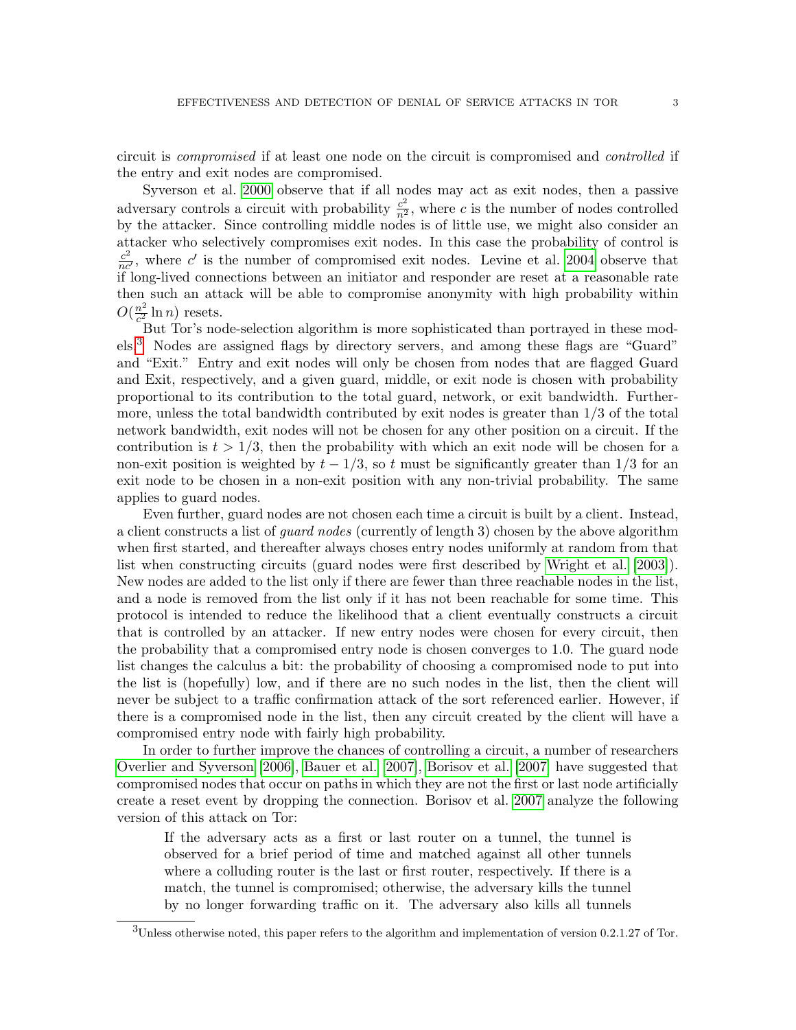circuit is compromised if at least one node on the circuit is compromised and controlled if the entry and exit nodes are compromised.

Syverson et al. [2000](#page-27-0) observe that if all nodes may act as exit nodes, then a passive adversary controls a circuit with probability  $\frac{c^2}{n^2}$ , where c is the number of nodes controlled by the attacker. Since controlling middle nodes is of little use, we might also consider an attacker who selectively compromises exit nodes. In this case the probability of control is  $\frac{c^2}{nc'}$ , where c' is the number of compromised exit nodes. Levine et al. [2004](#page-26-5) observe that if long-lived connections between an initiator and responder are reset at a reasonable rate then such an attack will be able to compromise anonymity with high probability within  $O(\frac{n^2}{c^2})$  $\frac{n^2}{c^2} \ln n$  resets.

But Tor's node-selection algorithm is more sophisticated than portrayed in these models.[3](#page-2-0) Nodes are assigned flags by directory servers, and among these flags are "Guard" and "Exit." Entry and exit nodes will only be chosen from nodes that are flagged Guard and Exit, respectively, and a given guard, middle, or exit node is chosen with probability proportional to its contribution to the total guard, network, or exit bandwidth. Furthermore, unless the total bandwidth contributed by exit nodes is greater than  $1/3$  of the total network bandwidth, exit nodes will not be chosen for any other position on a circuit. If the contribution is  $t > 1/3$ , then the probability with which an exit node will be chosen for a non-exit position is weighted by  $t - 1/3$ , so t must be significantly greater than  $1/3$  for an exit node to be chosen in a non-exit position with any non-trivial probability. The same applies to guard nodes.

Even further, guard nodes are not chosen each time a circuit is built by a client. Instead, a client constructs a list of *quard nodes* (currently of length 3) chosen by the above algorithm when first started, and thereafter always choses entry nodes uniformly at random from that list when constructing circuits (guard nodes were first described by [Wright et al.](#page-27-1) [\[2003\]](#page-27-1)). New nodes are added to the list only if there are fewer than three reachable nodes in the list, and a node is removed from the list only if it has not been reachable for some time. This protocol is intended to reduce the likelihood that a client eventually constructs a circuit that is controlled by an attacker. If new entry nodes were chosen for every circuit, then the probability that a compromised entry node is chosen converges to 1.0. The guard node list changes the calculus a bit: the probability of choosing a compromised node to put into the list is (hopefully) low, and if there are no such nodes in the list, then the client will never be subject to a traffic confirmation attack of the sort referenced earlier. However, if there is a compromised node in the list, then any circuit created by the client will have a compromised entry node with fairly high probability.

In order to further improve the chances of controlling a circuit, a number of researchers [Overlier and Syverson](#page-26-8) [\[2006\]](#page-26-8), [Bauer et al.](#page-26-9) [\[2007\]](#page-26-9), [Borisov et al.](#page-26-3) [\[2007\]](#page-26-3) have suggested that compromised nodes that occur on paths in which they are not the first or last node artificially create a reset event by dropping the connection. Borisov et al. [2007](#page-26-3) analyze the following version of this attack on Tor:

If the adversary acts as a first or last router on a tunnel, the tunnel is observed for a brief period of time and matched against all other tunnels where a colluding router is the last or first router, respectively. If there is a match, the tunnel is compromised; otherwise, the adversary kills the tunnel by no longer forwarding traffic on it. The adversary also kills all tunnels

<span id="page-2-0"></span> $3$ Unless otherwise noted, this paper refers to the algorithm and implementation of version 0.2.1.27 of Tor.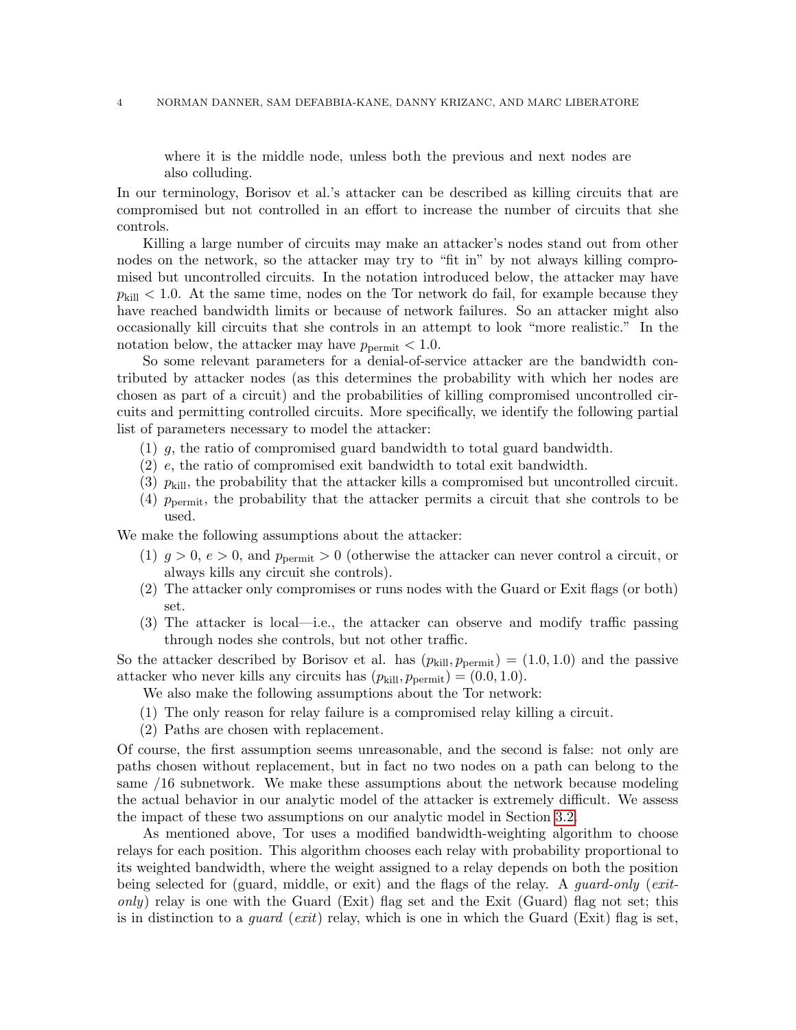where it is the middle node, unless both the previous and next nodes are also colluding.

In our terminology, Borisov et al.'s attacker can be described as killing circuits that are compromised but not controlled in an effort to increase the number of circuits that she controls.

Killing a large number of circuits may make an attacker's nodes stand out from other nodes on the network, so the attacker may try to "fit in" by not always killing compromised but uncontrolled circuits. In the notation introduced below, the attacker may have  $p_{\text{kill}} < 1.0$ . At the same time, nodes on the Tor network do fail, for example because they have reached bandwidth limits or because of network failures. So an attacker might also occasionally kill circuits that she controls in an attempt to look "more realistic." In the notation below, the attacker may have  $p_{\text{permit}} < 1.0$ .

So some relevant parameters for a denial-of-service attacker are the bandwidth contributed by attacker nodes (as this determines the probability with which her nodes are chosen as part of a circuit) and the probabilities of killing compromised uncontrolled circuits and permitting controlled circuits. More specifically, we identify the following partial list of parameters necessary to model the attacker:

- (1) g, the ratio of compromised guard bandwidth to total guard bandwidth.
- (2) e, the ratio of compromised exit bandwidth to total exit bandwidth.
- (3)  $p_{\text{kill}}$ , the probability that the attacker kills a compromised but uncontrolled circuit.
- (4)  $p_{\text{permit}}$ , the probability that the attacker permits a circuit that she controls to be used.

We make the following assumptions about the attacker:

- (1)  $g > 0$ ,  $e > 0$ , and  $p_{\text{permit}} > 0$  (otherwise the attacker can never control a circuit, or always kills any circuit she controls).
- (2) The attacker only compromises or runs nodes with the Guard or Exit flags (or both) set.
- (3) The attacker is local—i.e., the attacker can observe and modify traffic passing through nodes she controls, but not other traffic.

So the attacker described by Borisov et al. has  $(p_{\text{kill}}, p_{\text{permit}}) = (1.0, 1.0)$  and the passive attacker who never kills any circuits has  $(p_{\text{kill}}, p_{\text{permit}}) = (0.0, 1.0).$ 

We also make the following assumptions about the Tor network:

- (1) The only reason for relay failure is a compromised relay killing a circuit.
- (2) Paths are chosen with replacement.

Of course, the first assumption seems unreasonable, and the second is false: not only are paths chosen without replacement, but in fact no two nodes on a path can belong to the same /16 subnetwork. We make these assumptions about the network because modeling the actual behavior in our analytic model of the attacker is extremely difficult. We assess the impact of these two assumptions on our analytic model in Section [3.2.](#page-9-0)

As mentioned above, Tor uses a modified bandwidth-weighting algorithm to choose relays for each position. This algorithm chooses each relay with probability proportional to its weighted bandwidth, where the weight assigned to a relay depends on both the position being selected for (guard, middle, or exit) and the flags of the relay. A *quard-only (exit*only) relay is one with the Guard (Exit) flag set and the Exit (Guard) flag not set; this is in distinction to a *guard* (*exit*) relay, which is one in which the Guard (Exit) flag is set,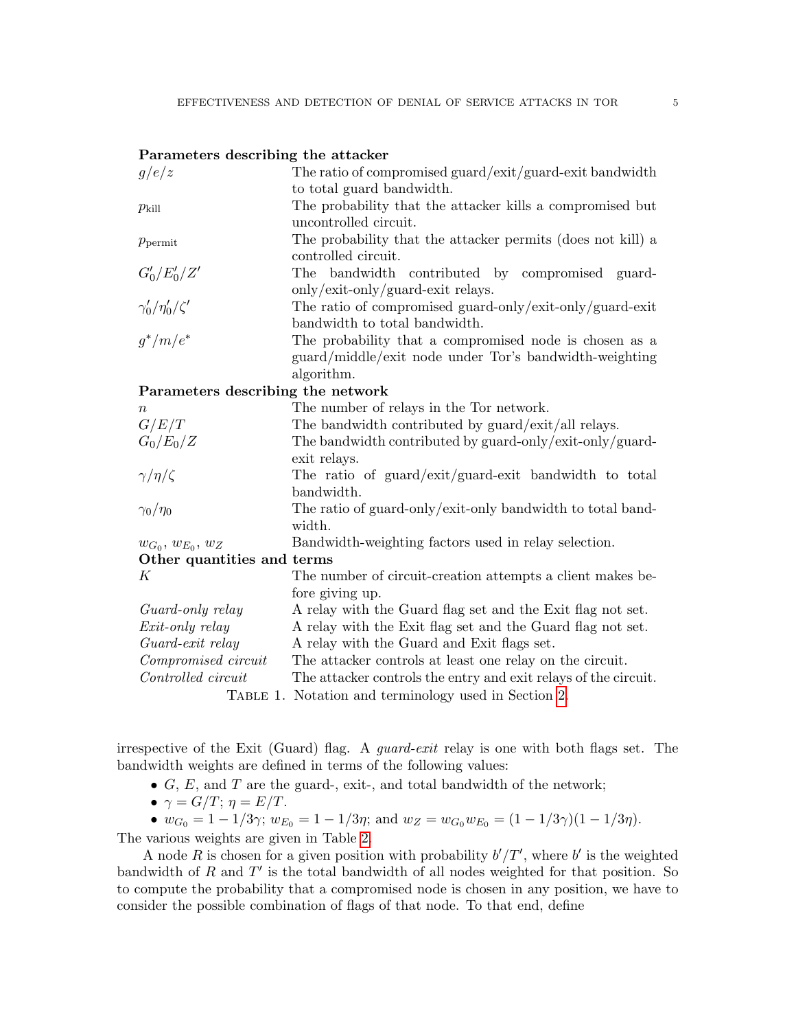| Parameters describing the attacker |  |  |  |
|------------------------------------|--|--|--|
|------------------------------------|--|--|--|

| g/e/z                                        | The ratio of compromised guard/exit/guard-exit bandwidth        |  |  |  |  |
|----------------------------------------------|-----------------------------------------------------------------|--|--|--|--|
|                                              | to total guard bandwidth.                                       |  |  |  |  |
| $p_{\text{kill}}$                            | The probability that the attacker kills a compromised but       |  |  |  |  |
|                                              | uncontrolled circuit.                                           |  |  |  |  |
| $p_{\text{permit}}$                          | The probability that the attacker permits (does not kill) a     |  |  |  |  |
|                                              | controlled circuit.                                             |  |  |  |  |
| $G'_0/E'_0/Z'$                               | The bandwidth<br>contributed by compromised<br>guard-           |  |  |  |  |
|                                              | only/exit-only/guard-exit relays.                               |  |  |  |  |
| $\gamma^\prime_0/\eta^\prime_0/\zeta^\prime$ | The ratio of compromised guard-only/exit-only/guard-exit        |  |  |  |  |
|                                              | bandwidth to total bandwidth.                                   |  |  |  |  |
| $g^*/m/e^*$                                  | The probability that a compromised node is chosen as a          |  |  |  |  |
|                                              | guard/middle/exit node under Tor's bandwidth-weighting          |  |  |  |  |
|                                              | algorithm.                                                      |  |  |  |  |
| Parameters describing the network            |                                                                 |  |  |  |  |
| $\, n$                                       | The number of relays in the Tor network.                        |  |  |  |  |
| G/E/T                                        | The bandwidth contributed by guard/exit/all relays.             |  |  |  |  |
| $G_0/E_0/Z$                                  | The bandwidth contributed by guard-only/exit-only/guard-        |  |  |  |  |
|                                              | exit relays.                                                    |  |  |  |  |
| $\gamma/\eta/\zeta$                          | The ratio of guard/exit/guard-exit bandwidth to total           |  |  |  |  |
|                                              | bandwidth.                                                      |  |  |  |  |
| $\gamma_0/\eta_0$                            | The ratio of guard-only/exit-only bandwidth to total band-      |  |  |  |  |
|                                              | width.                                                          |  |  |  |  |
| $w_{G_0}, w_{E_0}, w_Z$                      | Bandwidth-weighting factors used in relay selection.            |  |  |  |  |
| Other quantities and terms                   |                                                                 |  |  |  |  |
| K                                            | The number of circuit-creation attempts a client makes be-      |  |  |  |  |
|                                              | fore giving up.                                                 |  |  |  |  |
| Guard-only relay                             | A relay with the Guard flag set and the Exit flag not set.      |  |  |  |  |
| Exit-only relay                              | A relay with the Exit flag set and the Guard flag not set.      |  |  |  |  |
| Guard-exit relay                             | A relay with the Guard and Exit flags set.                      |  |  |  |  |
| Compromised circuit                          | The attacker controls at least one relay on the circuit.        |  |  |  |  |
| Controlled circuit                           | The attacker controls the entry and exit relays of the circuit. |  |  |  |  |
|                                              | TABLE 1. Notation and terminology used in Section 2.            |  |  |  |  |

irrespective of the Exit (Guard) flag. A guard-exit relay is one with both flags set. The bandwidth weights are defined in terms of the following values:

•  $G, E$ , and  $T$  are the guard-, exit-, and total bandwidth of the network;

•  $\gamma = G/T; \, \eta = E/T.$ 

•  $w_{G_0} = 1 - 1/3\gamma$ ;  $w_{E_0} = 1 - 1/3\eta$ ; and  $w_Z = w_{G_0}w_{E_0} = (1 - 1/3\gamma)(1 - 1/3\eta)$ .

The various weights are given in Table [2.](#page-5-0)

A node R is chosen for a given position with probability  $b'/T'$ , where b' is the weighted bandwidth of  $R$  and  $T'$  is the total bandwidth of all nodes weighted for that position. So to compute the probability that a compromised node is chosen in any position, we have to consider the possible combination of flags of that node. To that end, define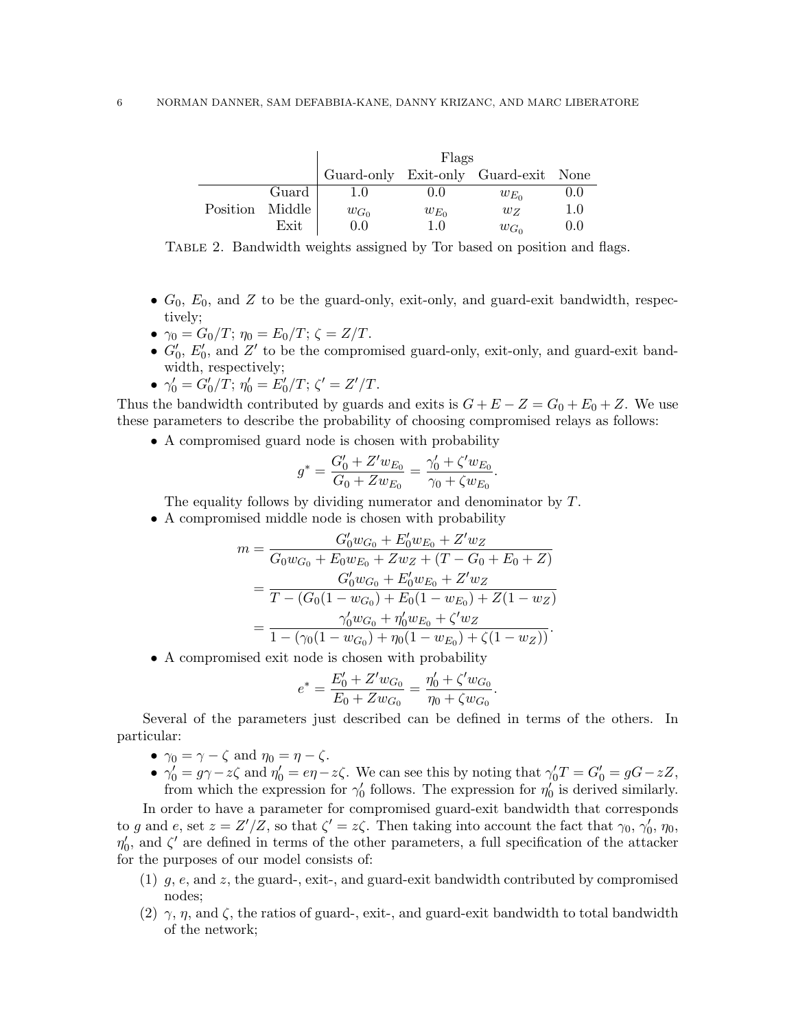|          |        | Flags                                |           |           |         |
|----------|--------|--------------------------------------|-----------|-----------|---------|
|          |        | Guard-only Exit-only Guard-exit None |           |           |         |
| Position | Guard  | 1.0                                  | 0.0       | $w_{E_0}$ | $0.0\,$ |
|          | Middle | $w_{G_0}$                            | $w_{E_0}$ | $w_z$     | 1.0     |
|          | Exit   | 0.0                                  | 1.0       | $w_{G_0}$ | 0.0     |

Table 2. Bandwidth weights assigned by Tor based on position and flags.

- $G_0$ ,  $E_0$ , and Z to be the guard-only, exit-only, and guard-exit bandwidth, respectively;
- $\gamma_0 = G_0/T; \eta_0 = E_0/T; \zeta = Z/T.$
- $G'_0$ ,  $E'_0$ , and  $Z'$  to be the compromised guard-only, exit-only, and guard-exit bandwidth, respectively;
- $\gamma'_0 = G'_0/T; \eta'_0 = E'_0/T; \zeta' = Z'/T.$

Thus the bandwidth contributed by guards and exits is  $G + E - Z = G_0 + E_0 + Z$ . We use these parameters to describe the probability of choosing compromised relays as follows:

• A compromised guard node is chosen with probability

$$
g^* = \frac{G'_0 + Z'w_{E_0}}{G_0 + Zw_{E_0}} = \frac{\gamma'_0 + \zeta' w_{E_0}}{\gamma_0 + \zeta w_{E_0}}
$$

.

The equality follows by dividing numerator and denominator by T.

• A compromised middle node is chosen with probability

$$
m = \frac{G'_0 w_{G_0} + E'_0 w_{E_0} + Z' w_Z}{G_0 w_{G_0} + E_0 w_{E_0} + Z w_Z + (T - G_0 + E_0 + Z)}
$$
  
= 
$$
\frac{G'_0 w_{G_0} + E'_0 w_{E_0} + Z' w_Z}{T - (G_0 (1 - w_{G_0}) + E_0 (1 - w_{E_0}) + Z (1 - w_Z))}
$$
  
= 
$$
\frac{\gamma'_0 w_{G_0} + \eta'_0 w_{E_0} + \zeta' w_Z}{1 - (\gamma_0 (1 - w_{G_0}) + \eta_0 (1 - w_{E_0}) + \zeta (1 - w_Z))}.
$$

• A compromised exit node is chosen with probability

$$
e^* = \frac{E'_0 + Z'w_{G_0}}{E_0 + Zw_{G_0}} = \frac{\eta'_0 + \zeta'w_{G_0}}{\eta_0 + \zeta w_{G_0}}.
$$

Several of the parameters just described can be defined in terms of the others. In particular:

- $\gamma_0 = \gamma \zeta$  and  $\eta_0 = \eta \zeta$ .
- $\gamma'_0 = g\gamma z\zeta$  and  $\eta'_0 = e\eta z\zeta$ . We can see this by noting that  $\gamma'_0T = G'_0 = gG zZ$ , from which the expression for  $\gamma'_0$  follows. The expression for  $\eta'_0$  is derived similarly.

In order to have a parameter for compromised guard-exit bandwidth that corresponds to g and e, set  $z = Z'/Z$ , so that  $\zeta' = z\zeta$ . Then taking into account the fact that  $\gamma_0, \gamma'_0, \eta_0$ ,  $\eta_0'$ , and  $\zeta'$  are defined in terms of the other parameters, a full specification of the attacker for the purposes of our model consists of:

- (1)  $g, e$ , and  $z$ , the guard-, exit-, and guard-exit bandwidth contributed by compromised nodes;
- (2)  $\gamma$ ,  $\eta$ , and  $\zeta$ , the ratios of guard-, exit-, and guard-exit bandwidth to total bandwidth of the network;

<span id="page-5-0"></span>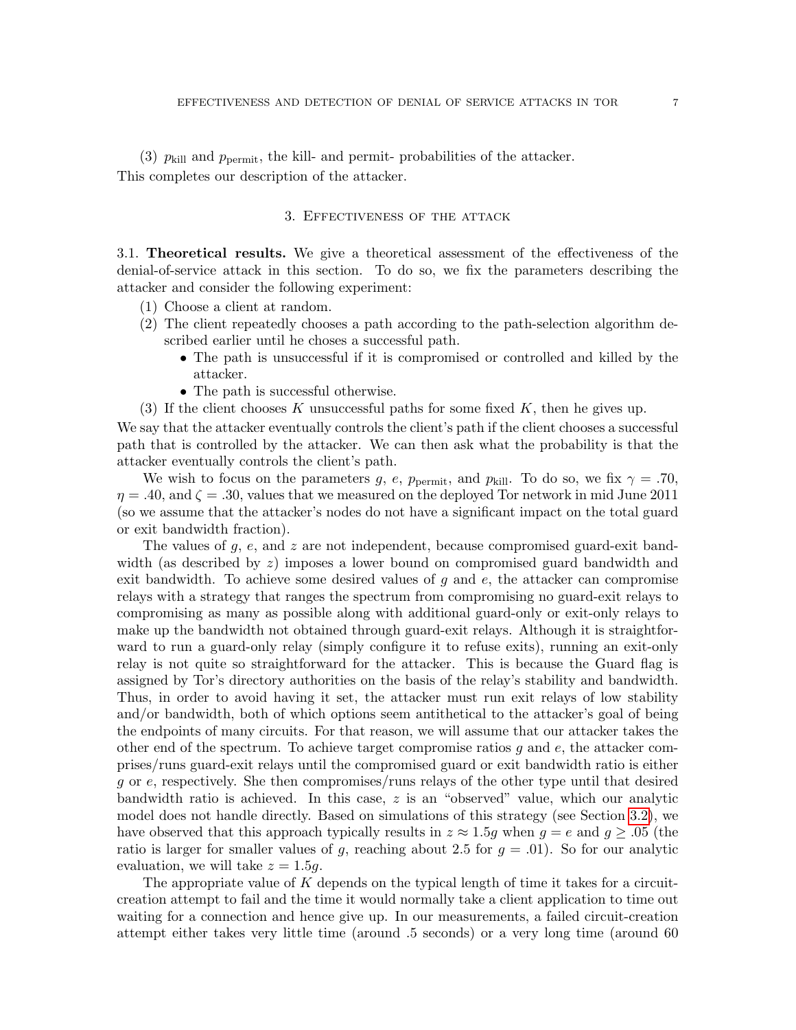(3)  $p_{\text{kill}}$  and  $p_{\text{permit}}$ , the kill- and permit- probabilities of the attacker. This completes our description of the attacker.

## 3. Effectiveness of the attack

<span id="page-6-1"></span><span id="page-6-0"></span>3.1. Theoretical results. We give a theoretical assessment of the effectiveness of the denial-of-service attack in this section. To do so, we fix the parameters describing the attacker and consider the following experiment:

- (1) Choose a client at random.
- (2) The client repeatedly chooses a path according to the path-selection algorithm described earlier until he choses a successful path.
	- The path is unsuccessful if it is compromised or controlled and killed by the attacker.
	- The path is successful otherwise.
- (3) If the client chooses K unsuccessful paths for some fixed K, then he gives up.

We say that the attacker eventually controls the client's path if the client chooses a successful path that is controlled by the attacker. We can then ask what the probability is that the attacker eventually controls the client's path.

We wish to focus on the parameters g, e,  $p_{\text{permit}}$ , and  $p_{\text{kill}}$ . To do so, we fix  $\gamma = .70$ ,  $\eta = .40$ , and  $\zeta = .30$ , values that we measured on the deployed Tor network in mid June 2011 (so we assume that the attacker's nodes do not have a significant impact on the total guard or exit bandwidth fraction).

The values of  $q$ ,  $e$ , and  $z$  are not independent, because compromised guard-exit bandwidth (as described by z) imposes a lower bound on compromised guard bandwidth and exit bandwidth. To achieve some desired values of  $g$  and  $e$ , the attacker can compromise relays with a strategy that ranges the spectrum from compromising no guard-exit relays to compromising as many as possible along with additional guard-only or exit-only relays to make up the bandwidth not obtained through guard-exit relays. Although it is straightforward to run a guard-only relay (simply configure it to refuse exits), running an exit-only relay is not quite so straightforward for the attacker. This is because the Guard flag is assigned by Tor's directory authorities on the basis of the relay's stability and bandwidth. Thus, in order to avoid having it set, the attacker must run exit relays of low stability and/or bandwidth, both of which options seem antithetical to the attacker's goal of being the endpoints of many circuits. For that reason, we will assume that our attacker takes the other end of the spectrum. To achieve target compromise ratios  $g$  and  $e$ , the attacker comprises/runs guard-exit relays until the compromised guard or exit bandwidth ratio is either g or e, respectively. She then compromises/runs relays of the other type until that desired bandwidth ratio is achieved. In this case,  $z$  is an "observed" value, which our analytic model does not handle directly. Based on simulations of this strategy (see Section [3.2\)](#page-9-0), we have observed that this approach typically results in  $z \approx 1.5g$  when  $g = e$  and  $g \ge .05$  (the ratio is larger for smaller values of g, reaching about 2.5 for  $g = .01$ ). So for our analytic evaluation, we will take  $z = 1.5q$ .

The appropriate value of  $K$  depends on the typical length of time it takes for a circuitcreation attempt to fail and the time it would normally take a client application to time out waiting for a connection and hence give up. In our measurements, a failed circuit-creation attempt either takes very little time (around .5 seconds) or a very long time (around 60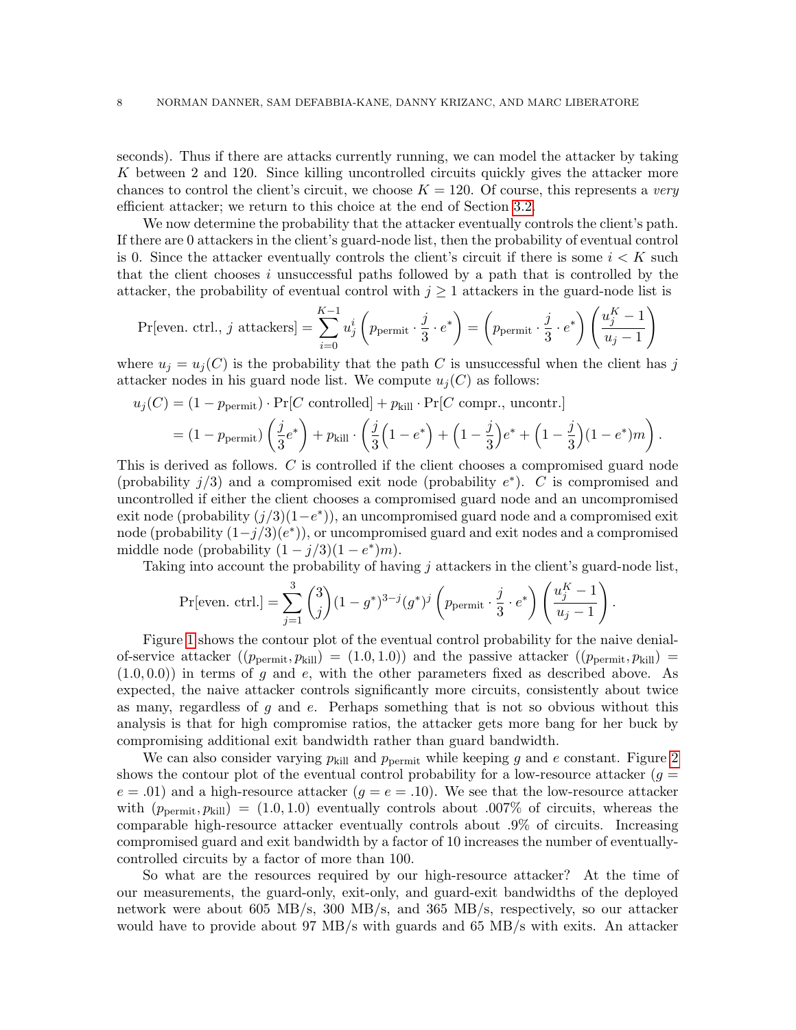seconds). Thus if there are attacks currently running, we can model the attacker by taking K between 2 and 120. Since killing uncontrolled circuits quickly gives the attacker more chances to control the client's circuit, we choose  $K = 120$ . Of course, this represents a very efficient attacker; we return to this choice at the end of Section [3.2.](#page-9-0)

We now determine the probability that the attacker eventually controls the client's path. If there are 0 attackers in the client's guard-node list, then the probability of eventual control is 0. Since the attacker eventually controls the client's circuit if there is some  $i < K$  such that the client chooses i unsuccessful paths followed by a path that is controlled by the attacker, the probability of eventual control with  $j \geq 1$  attackers in the guard-node list is

$$
\Pr[\text{even. ctrl., } j \text{ attacksers}] = \sum_{i=0}^{K-1} u_j^i \left( p_{\text{permit}} \cdot \frac{j}{3} \cdot e^* \right) = \left( p_{\text{permit}} \cdot \frac{j}{3} \cdot e^* \right) \left( \frac{u_j^K - 1}{u_j - 1} \right)
$$

where  $u_j = u_j(C)$  is the probability that the path C is unsuccessful when the client has j attacker nodes in his guard node list. We compute  $u_i(C)$  as follows:

$$
u_j(C) = (1 - p_{\text{permit}}) \cdot \Pr[C \text{ controlled}] + p_{\text{kill}} \cdot \Pr[C \text{ compr., uncontr.}]
$$
  
=  $(1 - p_{\text{permit}}) \left(\frac{j}{3} e^*\right) + p_{\text{kill}} \cdot \left(\frac{j}{3} \left(1 - e^*\right) + \left(1 - \frac{j}{3}\right) e^* + \left(1 - \frac{j}{3}\right) (1 - e^*) m\right).$ 

This is derived as follows. C is controlled if the client chooses a compromised guard node (probability  $j/3$ ) and a compromised exit node (probability  $e^*$ ). C is compromised and uncontrolled if either the client chooses a compromised guard node and an uncompromised exit node (probability  $(j/3)(1-e^*)$ ), an uncompromised guard node and a compromised exit node (probability  $(1-j/3)(e^*)$ ), or uncompromised guard and exit nodes and a compromised middle node (probability  $(1 - j/3)(1 - e^*)m$ ).

Taking into account the probability of having  $i$  attackers in the client's guard-node list,

$$
\Pr[\text{even. ctrl.}] = \sum_{j=1}^{3} {3 \choose j} (1 - g^*)^{3-j} (g^*)^j \left( p_{\text{permit}} \cdot \frac{j}{3} \cdot e^* \right) \left( \frac{u_j^K - 1}{u_j - 1} \right).
$$

Figure [1](#page-8-0) shows the contour plot of the eventual control probability for the naive denialof-service attacker  $((p_{\text{permit}}, p_{\text{kill}}) = (1.0, 1.0))$  and the passive attacker  $((p_{\text{permit}}, p_{\text{kill}}) =$  $(1.0, 0.0)$  in terms of g and e, with the other parameters fixed as described above. As expected, the naive attacker controls significantly more circuits, consistently about twice as many, regardless of  $g$  and  $e$ . Perhaps something that is not so obvious without this analysis is that for high compromise ratios, the attacker gets more bang for her buck by compromising additional exit bandwidth rather than guard bandwidth.

We can also consider varying  $p_{\text{kill}}$  and  $p_{\text{permit}}$  while keeping g and e constant. Figure [2](#page-8-1) shows the contour plot of the eventual control probability for a low-resource attacker  $(g =$  $e = .01$ ) and a high-resource attacker  $(g = e = .10)$ . We see that the low-resource attacker with  $(p_{\text{permit}}, p_{\text{kill}}) = (1.0, 1.0)$  eventually controls about .007\% of circuits, whereas the comparable high-resource attacker eventually controls about .9% of circuits. Increasing compromised guard and exit bandwidth by a factor of 10 increases the number of eventuallycontrolled circuits by a factor of more than 100.

So what are the resources required by our high-resource attacker? At the time of our measurements, the guard-only, exit-only, and guard-exit bandwidths of the deployed network were about 605 MB/s, 300 MB/s, and 365 MB/s, respectively, so our attacker would have to provide about 97 MB/s with guards and 65 MB/s with exits. An attacker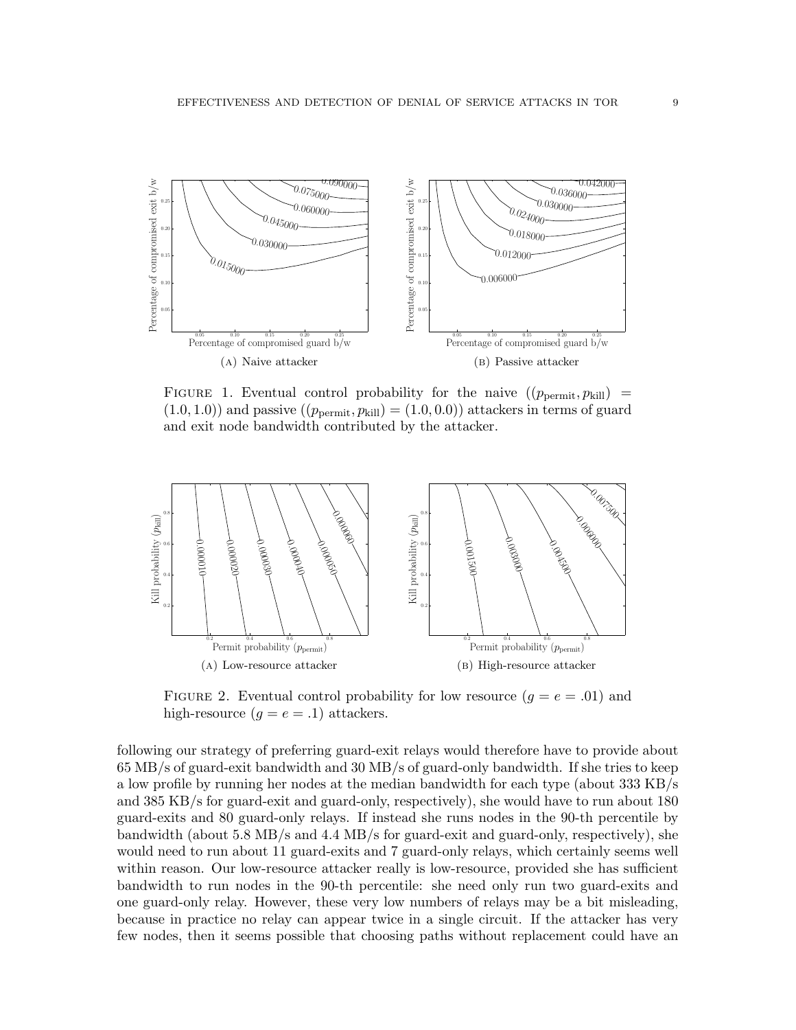<span id="page-8-0"></span>

FIGURE 1. Eventual control probability for the naive  $((p_{\text{permit}}, p_{\text{kill}})$  =  $(1.0, 1.0)$  and passive  $((p_{\text{permit}}, p_{\text{kill}}) = (1.0, 0.0))$  attackers in terms of guard and exit node bandwidth contributed by the attacker.

<span id="page-8-1"></span>

FIGURE 2. Eventual control probability for low resource  $(g = e = .01)$  and high-resource  $(g = e = .1)$  attackers.

following our strategy of preferring guard-exit relays would therefore have to provide about 65 MB/s of guard-exit bandwidth and 30 MB/s of guard-only bandwidth. If she tries to keep a low profile by running her nodes at the median bandwidth for each type (about 333 KB/s and 385 KB/s for guard-exit and guard-only, respectively), she would have to run about 180 guard-exits and 80 guard-only relays. If instead she runs nodes in the 90-th percentile by bandwidth (about 5.8 MB/s and 4.4 MB/s for guard-exit and guard-only, respectively), she would need to run about 11 guard-exits and 7 guard-only relays, which certainly seems well within reason. Our low-resource attacker really is low-resource, provided she has sufficient bandwidth to run nodes in the 90-th percentile: she need only run two guard-exits and one guard-only relay. However, these very low numbers of relays may be a bit misleading, because in practice no relay can appear twice in a single circuit. If the attacker has very few nodes, then it seems possible that choosing paths without replacement could have an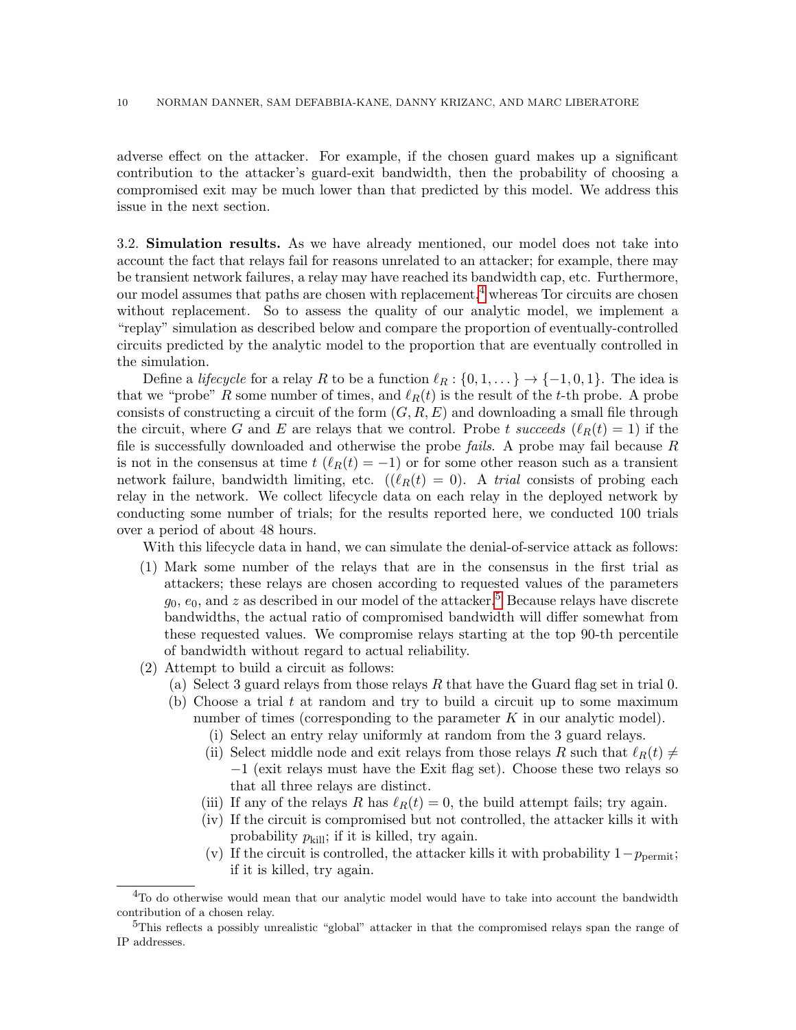adverse effect on the attacker. For example, if the chosen guard makes up a significant contribution to the attacker's guard-exit bandwidth, then the probability of choosing a compromised exit may be much lower than that predicted by this model. We address this issue in the next section.

<span id="page-9-0"></span>3.2. Simulation results. As we have already mentioned, our model does not take into account the fact that relays fail for reasons unrelated to an attacker; for example, there may be transient network failures, a relay may have reached its bandwidth cap, etc. Furthermore, our model assumes that paths are chosen with replacement,<sup>[4](#page-9-1)</sup> whereas Tor circuits are chosen without replacement. So to assess the quality of our analytic model, we implement a "replay" simulation as described below and compare the proportion of eventually-controlled circuits predicted by the analytic model to the proportion that are eventually controlled in the simulation.

Define a *lifecycle* for a relay R to be a function  $\ell_R : \{0, 1, \ldots\} \to \{-1, 0, 1\}$ . The idea is that we "probe" R some number of times, and  $\ell_R(t)$  is the result of the t-th probe. A probe consists of constructing a circuit of the form  $(G, R, E)$  and downloading a small file through the circuit, where G and E are relays that we control. Probe t succeeds  $(\ell_R(t) = 1)$  if the file is successfully downloaded and otherwise the probe *fails*. A probe may fail because  $R$ is not in the consensus at time t  $(\ell_R(t) = -1)$  or for some other reason such as a transient network failure, bandwidth limiting, etc.  $((\ell_R(t) = 0)$ . A trial consists of probing each relay in the network. We collect lifecycle data on each relay in the deployed network by conducting some number of trials; for the results reported here, we conducted 100 trials over a period of about 48 hours.

With this lifecycle data in hand, we can simulate the denial-of-service attack as follows:

- (1) Mark some number of the relays that are in the consensus in the first trial as attackers; these relays are chosen according to requested values of the parameters  $g_0, e_0$ , and z as described in our model of the attacker.<sup>[5](#page-9-2)</sup> Because relays have discrete bandwidths, the actual ratio of compromised bandwidth will differ somewhat from these requested values. We compromise relays starting at the top 90-th percentile of bandwidth without regard to actual reliability.
- (2) Attempt to build a circuit as follows:
	- (a) Select 3 guard relays from those relays R that have the Guard flag set in trial 0.
	- (b) Choose a trial  $t$  at random and try to build a circuit up to some maximum number of times (corresponding to the parameter  $K$  in our analytic model).
		- (i) Select an entry relay uniformly at random from the 3 guard relays.
		- (ii) Select middle node and exit relays from those relays R such that  $\ell_R(t) \neq$ −1 (exit relays must have the Exit flag set). Choose these two relays so that all three relays are distinct.
		- (iii) If any of the relays R has  $\ell_R(t) = 0$ , the build attempt fails; try again.
		- (iv) If the circuit is compromised but not controlled, the attacker kills it with probability  $p_{\text{kill}}$ ; if it is killed, try again.
		- (v) If the circuit is controlled, the attacker kills it with probability  $1-p_{\text{permit}}$ ; if it is killed, try again.

<span id="page-9-1"></span><sup>&</sup>lt;sup>4</sup>To do otherwise would mean that our analytic model would have to take into account the bandwidth contribution of a chosen relay.

<span id="page-9-2"></span><sup>&</sup>lt;sup>5</sup>This reflects a possibly unrealistic "global" attacker in that the compromised relays span the range of IP addresses.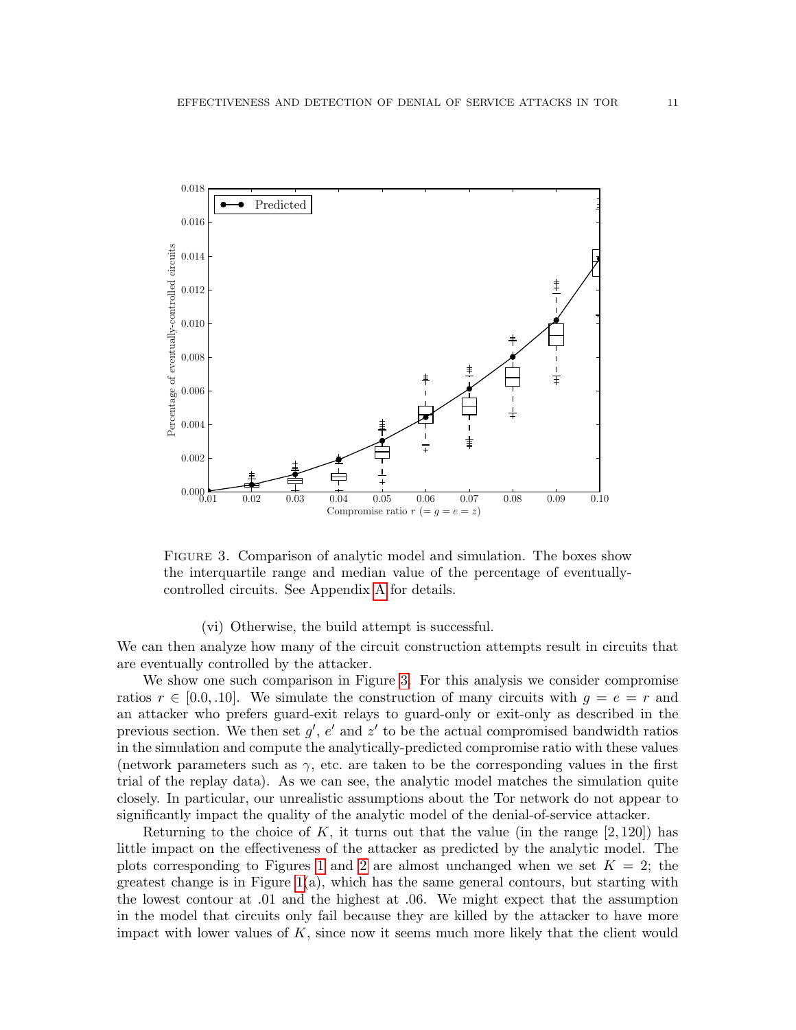<span id="page-10-0"></span>

Figure 3. Comparison of analytic model and simulation. The boxes show the interquartile range and median value of the percentage of eventuallycontrolled circuits. See Appendix [A](#page-24-0) for details.

#### (vi) Otherwise, the build attempt is successful.

We can then analyze how many of the circuit construction attempts result in circuits that are eventually controlled by the attacker.

We show one such comparison in Figure [3.](#page-10-0) For this analysis we consider compromise ratios  $r \in [0.0, 10]$ . We simulate the construction of many circuits with  $g = e = r$  and an attacker who prefers guard-exit relays to guard-only or exit-only as described in the previous section. We then set  $g'$ ,  $e'$  and  $z'$  to be the actual compromised bandwidth ratios in the simulation and compute the analytically-predicted compromise ratio with these values (network parameters such as  $\gamma$ , etc. are taken to be the corresponding values in the first trial of the replay data). As we can see, the analytic model matches the simulation quite closely. In particular, our unrealistic assumptions about the Tor network do not appear to significantly impact the quality of the analytic model of the denial-of-service attacker.

Returning to the choice of K, it turns out that the value (in the range  $[2, 120]$ ) has little impact on the effectiveness of the attacker as predicted by the analytic model. The plots corresponding to Figures [1](#page-8-0) and [2](#page-8-1) are almost unchanged when we set  $K = 2$ ; the greatest change is in Figure  $1(a)$ , which has the same general contours, but starting with the lowest contour at .01 and the highest at .06. We might expect that the assumption in the model that circuits only fail because they are killed by the attacker to have more impact with lower values of  $K$ , since now it seems much more likely that the client would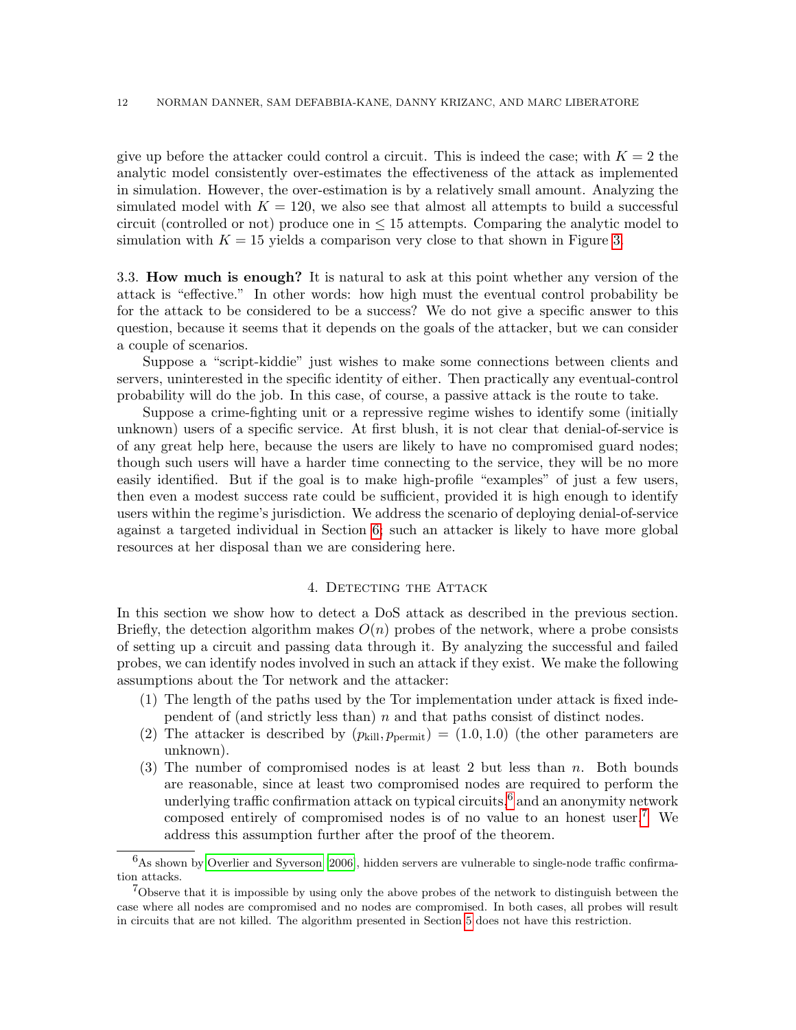give up before the attacker could control a circuit. This is indeed the case; with  $K = 2$  the analytic model consistently over-estimates the effectiveness of the attack as implemented in simulation. However, the over-estimation is by a relatively small amount. Analyzing the simulated model with  $K = 120$ , we also see that almost all attempts to build a successful circuit (controlled or not) produce one in  $\leq 15$  attempts. Comparing the analytic model to simulation with  $K = 15$  yields a comparison very close to that shown in Figure [3.](#page-10-0)

3.3. How much is enough? It is natural to ask at this point whether any version of the attack is "effective." In other words: how high must the eventual control probability be for the attack to be considered to be a success? We do not give a specific answer to this question, because it seems that it depends on the goals of the attacker, but we can consider a couple of scenarios.

Suppose a "script-kiddie" just wishes to make some connections between clients and servers, uninterested in the specific identity of either. Then practically any eventual-control probability will do the job. In this case, of course, a passive attack is the route to take.

Suppose a crime-fighting unit or a repressive regime wishes to identify some (initially unknown) users of a specific service. At first blush, it is not clear that denial-of-service is of any great help here, because the users are likely to have no compromised guard nodes; though such users will have a harder time connecting to the service, they will be no more easily identified. But if the goal is to make high-profile "examples" of just a few users, then even a modest success rate could be sufficient, provided it is high enough to identify users within the regime's jurisdiction. We address the scenario of deploying denial-of-service against a targeted individual in Section [6;](#page-20-0) such an attacker is likely to have more global resources at her disposal than we are considering here.

# 4. Detecting the Attack

<span id="page-11-0"></span>In this section we show how to detect a DoS attack as described in the previous section. Briefly, the detection algorithm makes  $O(n)$  probes of the network, where a probe consists of setting up a circuit and passing data through it. By analyzing the successful and failed probes, we can identify nodes involved in such an attack if they exist. We make the following assumptions about the Tor network and the attacker:

- (1) The length of the paths used by the Tor implementation under attack is fixed independent of (and strictly less than)  $n$  and that paths consist of distinct nodes.
- (2) The attacker is described by  $(p_{\text{kill}}, p_{\text{permit}}) = (1.0, 1.0)$  (the other parameters are unknown).
- (3) The number of compromised nodes is at least 2 but less than n. Both bounds are reasonable, since at least two compromised nodes are required to perform the underlying traffic confirmation attack on typical circuits,<sup>[6](#page-11-1)</sup> and an anonymity network composed entirely of compromised nodes is of no value to an honest user.<sup>[7](#page-11-2)</sup> We address this assumption further after the proof of the theorem.

<span id="page-11-1"></span> $6$ As shown by [Overlier and Syverson](#page-26-8) [\[2006\]](#page-26-8), hidden servers are vulnerable to single-node traffic confirmation attacks.

<span id="page-11-2"></span><sup>7</sup>Observe that it is impossible by using only the above probes of the network to distinguish between the case where all nodes are compromised and no nodes are compromised. In both cases, all probes will result in circuits that are not killed. The algorithm presented in Section [5](#page-15-0) does not have this restriction.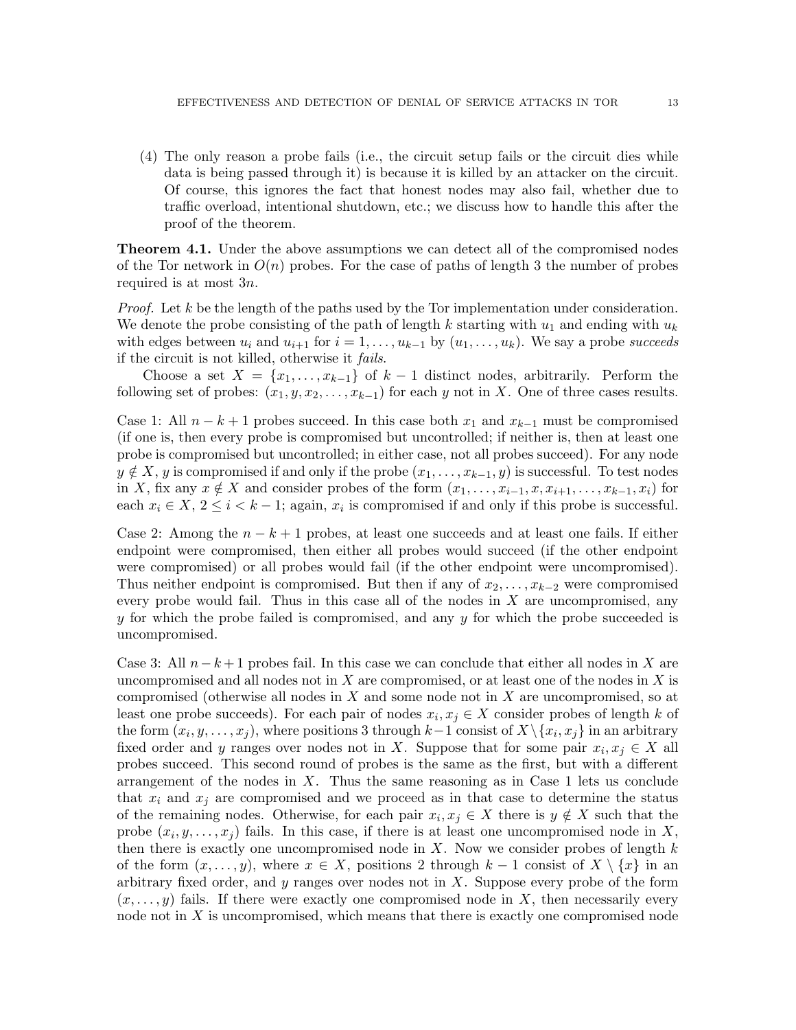(4) The only reason a probe fails (i.e., the circuit setup fails or the circuit dies while data is being passed through it) is because it is killed by an attacker on the circuit. Of course, this ignores the fact that honest nodes may also fail, whether due to traffic overload, intentional shutdown, etc.; we discuss how to handle this after the proof of the theorem.

<span id="page-12-0"></span>Theorem 4.1. Under the above assumptions we can detect all of the compromised nodes of the Tor network in  $O(n)$  probes. For the case of paths of length 3 the number of probes required is at most 3n.

*Proof.* Let k be the length of the paths used by the Tor implementation under consideration. We denote the probe consisting of the path of length k starting with  $u_1$  and ending with  $u_k$ with edges between  $u_i$  and  $u_{i+1}$  for  $i = 1, \ldots, u_{k-1}$  by  $(u_1, \ldots, u_k)$ . We say a probe succeeds if the circuit is not killed, otherwise it fails.

Choose a set  $X = \{x_1, \ldots, x_{k-1}\}\$  of  $k-1$  distinct nodes, arbitrarily. Perform the following set of probes:  $(x_1, y, x_2, \ldots, x_{k-1})$  for each y not in X. One of three cases results.

Case 1: All  $n - k + 1$  probes succeed. In this case both  $x_1$  and  $x_{k-1}$  must be compromised (if one is, then every probe is compromised but uncontrolled; if neither is, then at least one probe is compromised but uncontrolled; in either case, not all probes succeed). For any node  $y \notin X$ , y is compromised if and only if the probe  $(x_1, \ldots, x_{k-1}, y)$  is successful. To test nodes in X, fix any  $x \notin X$  and consider probes of the form  $(x_1, \ldots, x_{i-1}, x, x_{i+1}, \ldots, x_{k-1}, x_i)$  for each  $x_i \in X$ ,  $2 \le i < k-1$ ; again,  $x_i$  is compromised if and only if this probe is successful.

Case 2: Among the  $n - k + 1$  probes, at least one succeeds and at least one fails. If either endpoint were compromised, then either all probes would succeed (if the other endpoint were compromised) or all probes would fail (if the other endpoint were uncompromised). Thus neither endpoint is compromised. But then if any of  $x_2, \ldots, x_{k-2}$  were compromised every probe would fail. Thus in this case all of the nodes in  $X$  are uncompromised, any y for which the probe failed is compromised, and any y for which the probe succeeded is uncompromised.

Case 3: All  $n-k+1$  probes fail. In this case we can conclude that either all nodes in X are uncompromised and all nodes not in  $X$  are compromised, or at least one of the nodes in  $X$  is compromised (otherwise all nodes in  $X$  and some node not in  $X$  are uncompromised, so at least one probe succeeds). For each pair of nodes  $x_i, x_j \in X$  consider probes of length k of the form  $(x_i, y, \ldots, x_j)$ , where positions 3 through  $k-1$  consist of  $X \setminus \{x_i, x_j\}$  in an arbitrary fixed order and y ranges over nodes not in X. Suppose that for some pair  $x_i, x_j \in X$  all probes succeed. This second round of probes is the same as the first, but with a different arrangement of the nodes in  $X$ . Thus the same reasoning as in Case 1 lets us conclude that  $x_i$  and  $x_j$  are compromised and we proceed as in that case to determine the status of the remaining nodes. Otherwise, for each pair  $x_i, x_j \in X$  there is  $y \notin X$  such that the probe  $(x_i, y, \ldots, x_j)$  fails. In this case, if there is at least one uncompromised node in X, then there is exactly one uncompromised node in  $X$ . Now we consider probes of length  $k$ of the form  $(x, \ldots, y)$ , where  $x \in X$ , positions 2 through  $k-1$  consist of  $X \setminus \{x\}$  in an arbitrary fixed order, and  $y$  ranges over nodes not in  $X$ . Suppose every probe of the form  $(x, \ldots, y)$  fails. If there were exactly one compromised node in X, then necessarily every node not in  $X$  is uncompromised, which means that there is exactly one compromised node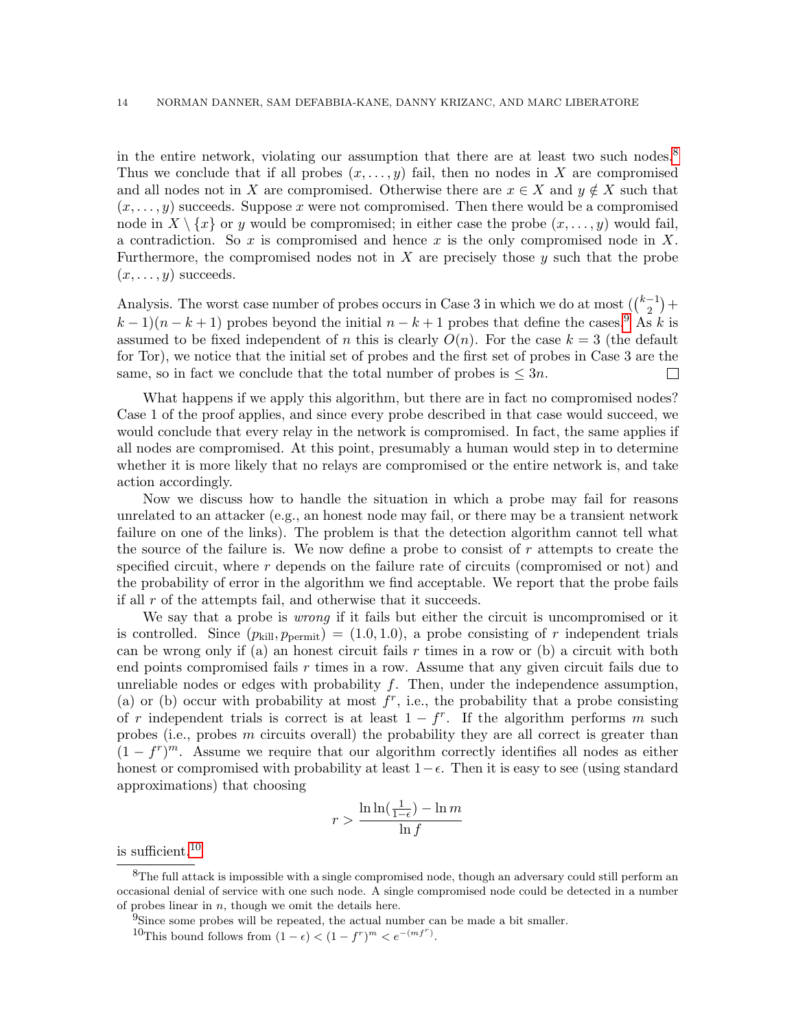in the entire network, violating our assumption that there are at least two such nodes.<sup>[8](#page-13-0)</sup> Thus we conclude that if all probes  $(x, \ldots, y)$  fail, then no nodes in X are compromised and all nodes not in X are compromised. Otherwise there are  $x \in X$  and  $y \notin X$  such that  $(x, \ldots, y)$  succeeds. Suppose x were not compromised. Then there would be a compromised node in  $X \setminus \{x\}$  or y would be compromised; in either case the probe  $(x, \ldots, y)$  would fail, a contradiction. So x is compromised and hence x is the only compromised node in X. Furthermore, the compromised nodes not in  $X$  are precisely those  $y$  such that the probe  $(x, \ldots, y)$  succeeds.

Analysis. The worst case number of probes occurs in Case 3 in which we do at most  $(\binom{k-1}{2}$  $^{-1}_{2}) +$  $(k-1)(n-k+1)$  probes beyond the initial  $n-k+1$  probes that define the cases.<sup>[9](#page-13-1)</sup> As k is assumed to be fixed independent of n this is clearly  $O(n)$ . For the case  $k = 3$  (the default for Tor), we notice that the initial set of probes and the first set of probes in Case 3 are the same, so in fact we conclude that the total number of probes is  $\leq 3n$ .  $\mathbf{L}$ 

What happens if we apply this algorithm, but there are in fact no compromised nodes? Case 1 of the proof applies, and since every probe described in that case would succeed, we would conclude that every relay in the network is compromised. In fact, the same applies if all nodes are compromised. At this point, presumably a human would step in to determine whether it is more likely that no relays are compromised or the entire network is, and take action accordingly.

Now we discuss how to handle the situation in which a probe may fail for reasons unrelated to an attacker (e.g., an honest node may fail, or there may be a transient network failure on one of the links). The problem is that the detection algorithm cannot tell what the source of the failure is. We now define a probe to consist of r attempts to create the specified circuit, where  $r$  depends on the failure rate of circuits (compromised or not) and the probability of error in the algorithm we find acceptable. We report that the probe fails if all r of the attempts fail, and otherwise that it succeeds.

We say that a probe is *wrong* if it fails but either the circuit is uncompromised or it is controlled. Since  $(p_{\text{kill}}, p_{\text{permit}}) = (1.0, 1.0)$ , a probe consisting of r independent trials can be wrong only if (a) an honest circuit fails  $r$  times in a row or (b) a circuit with both end points compromised fails  $r$  times in a row. Assume that any given circuit fails due to unreliable nodes or edges with probability  $f$ . Then, under the independence assumption, (a) or (b) occur with probability at most  $f^r$ , i.e., the probability that a probe consisting of r independent trials is correct is at least  $1 - f^r$ . If the algorithm performs m such probes (i.e., probes m circuits overall) the probability they are all correct is greater than  $(1 - f<sup>r</sup>)<sup>m</sup>$ . Assume we require that our algorithm correctly identifies all nodes as either honest or compromised with probability at least  $1-\epsilon$ . Then it is easy to see (using standard approximations) that choosing

$$
r > \frac{\ln \ln (\frac{1}{1-\epsilon}) - \ln m}{\ln f}
$$

is sufficient.[10](#page-13-2)

<span id="page-13-0"></span> ${}^{8}$ The full attack is impossible with a single compromised node, though an adversary could still perform an occasional denial of service with one such node. A single compromised node could be detected in a number of probes linear in  $n$ , though we omit the details here.

<span id="page-13-1"></span><sup>&</sup>lt;sup>9</sup>Since some probes will be repeated, the actual number can be made a bit smaller.

<span id="page-13-2"></span><sup>&</sup>lt;sup>10</sup>This bound follows from  $(1 - \epsilon) < (1 - f^r)^m < e^{-(mf^r)}$ .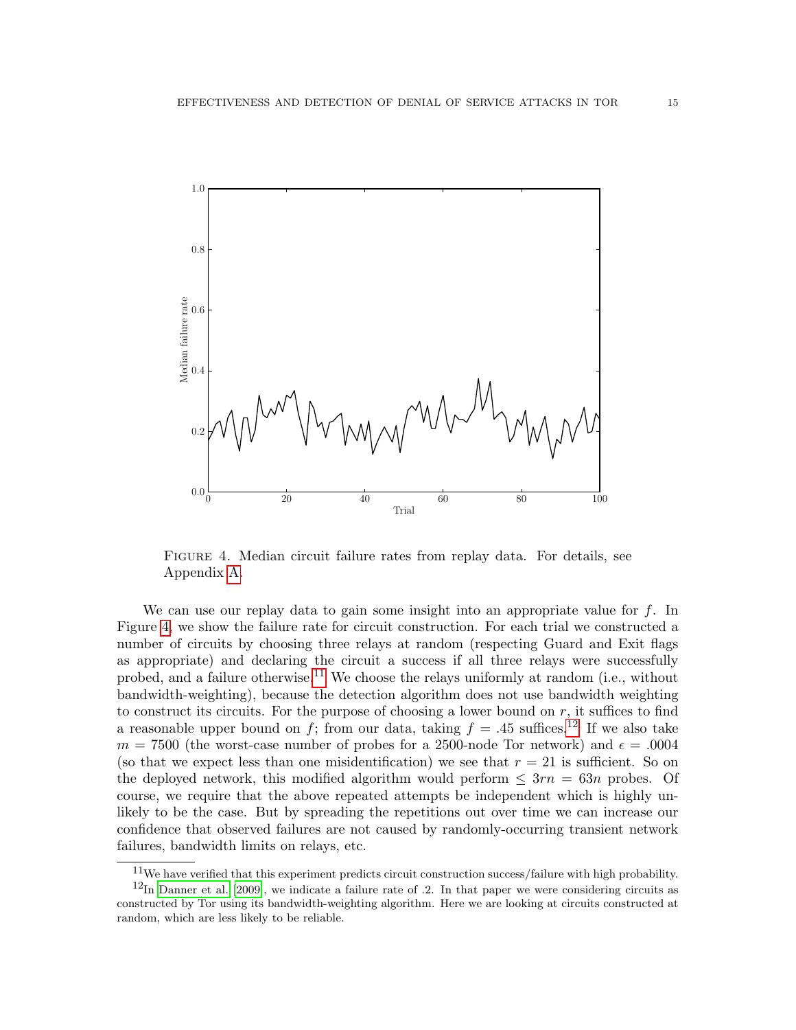<span id="page-14-0"></span>

Figure 4. Median circuit failure rates from replay data. For details, see Appendix [A.](#page-24-0)

We can use our replay data to gain some insight into an appropriate value for  $f$ . In Figure [4,](#page-14-0) we show the failure rate for circuit construction. For each trial we constructed a number of circuits by choosing three relays at random (respecting Guard and Exit flags as appropriate) and declaring the circuit a success if all three relays were successfully probed, and a failure otherwise.[11](#page-14-1) We choose the relays uniformly at random (i.e., without bandwidth-weighting), because the detection algorithm does not use bandwidth weighting to construct its circuits. For the purpose of choosing a lower bound on  $r$ , it suffices to find a reasonable upper bound on f; from our data, taking  $f = .45$  suffices.<sup>[12](#page-14-2)</sup> If we also take  $m = 7500$  (the worst-case number of probes for a 2500-node Tor network) and  $\epsilon = .0004$ (so that we expect less than one misidentification) we see that  $r = 21$  is sufficient. So on the deployed network, this modified algorithm would perform  $\leq 3rn = 63n$  probes. Of course, we require that the above repeated attempts be independent which is highly unlikely to be the case. But by spreading the repetitions out over time we can increase our confidence that observed failures are not caused by randomly-occurring transient network failures, bandwidth limits on relays, etc.

<span id="page-14-2"></span><span id="page-14-1"></span> $11$ We have verified that this experiment predicts circuit construction success/failure with high probability.

 $12$ In [Danner et al.](#page-26-7) [\[2009\]](#page-26-7), we indicate a failure rate of .2. In that paper we were considering circuits as constructed by Tor using its bandwidth-weighting algorithm. Here we are looking at circuits constructed at random, which are less likely to be reliable.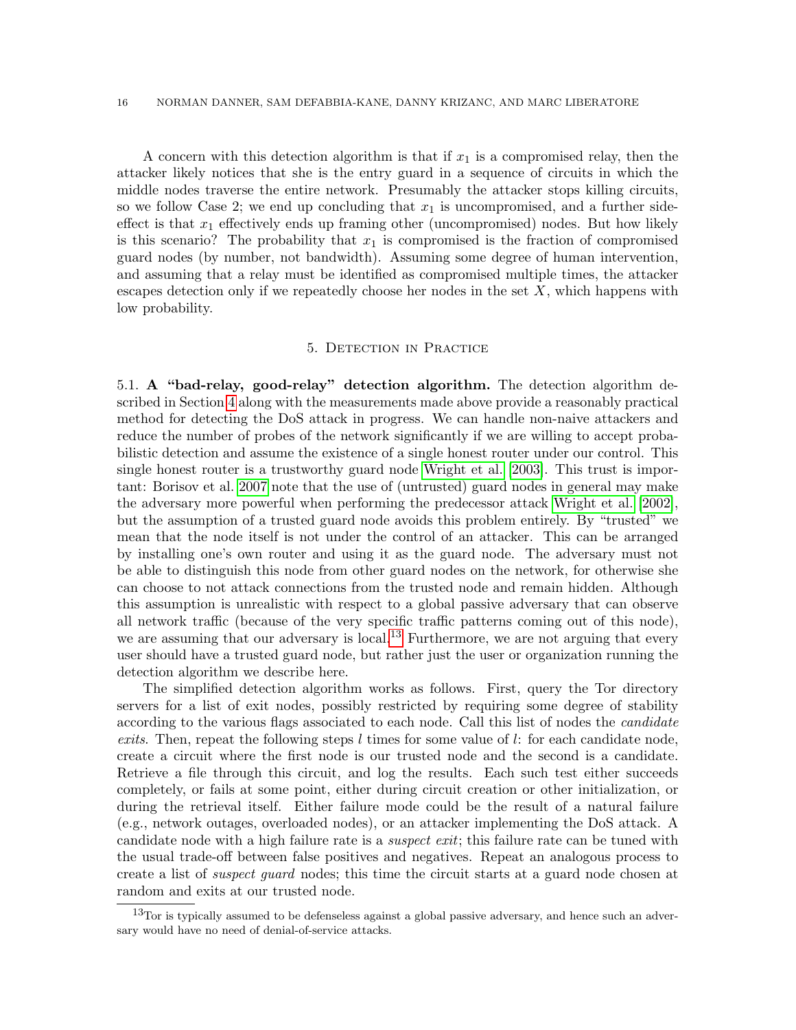A concern with this detection algorithm is that if  $x_1$  is a compromised relay, then the attacker likely notices that she is the entry guard in a sequence of circuits in which the middle nodes traverse the entire network. Presumably the attacker stops killing circuits, so we follow Case 2; we end up concluding that  $x_1$  is uncompromised, and a further sideeffect is that  $x_1$  effectively ends up framing other (uncompromised) nodes. But how likely is this scenario? The probability that  $x_1$  is compromised is the fraction of compromised guard nodes (by number, not bandwidth). Assuming some degree of human intervention, and assuming that a relay must be identified as compromised multiple times, the attacker escapes detection only if we repeatedly choose her nodes in the set  $X$ , which happens with low probability.

### 5. Detection in Practice

<span id="page-15-2"></span><span id="page-15-0"></span>5.1. A "bad-relay, good-relay" detection algorithm. The detection algorithm described in Section [4](#page-11-0) along with the measurements made above provide a reasonably practical method for detecting the DoS attack in progress. We can handle non-naive attackers and reduce the number of probes of the network significantly if we are willing to accept probabilistic detection and assume the existence of a single honest router under our control. This single honest router is a trustworthy guard node [Wright et al.](#page-27-1) [\[2003\]](#page-27-1). This trust is important: Borisov et al. [2007](#page-26-3) note that the use of (untrusted) guard nodes in general may make the adversary more powerful when performing the predecessor attack [Wright et al.](#page-27-2) [\[2002\]](#page-27-2), but the assumption of a trusted guard node avoids this problem entirely. By "trusted" we mean that the node itself is not under the control of an attacker. This can be arranged by installing one's own router and using it as the guard node. The adversary must not be able to distinguish this node from other guard nodes on the network, for otherwise she can choose to not attack connections from the trusted node and remain hidden. Although this assumption is unrealistic with respect to a global passive adversary that can observe all network traffic (because of the very specific traffic patterns coming out of this node), we are assuming that our adversary is local.<sup>[13](#page-15-1)</sup> Furthermore, we are not arguing that every user should have a trusted guard node, but rather just the user or organization running the detection algorithm we describe here.

The simplified detection algorithm works as follows. First, query the Tor directory servers for a list of exit nodes, possibly restricted by requiring some degree of stability according to the various flags associated to each node. Call this list of nodes the *candidate* exits. Then, repeat the following steps l times for some value of l: for each candidate node, create a circuit where the first node is our trusted node and the second is a candidate. Retrieve a file through this circuit, and log the results. Each such test either succeeds completely, or fails at some point, either during circuit creation or other initialization, or during the retrieval itself. Either failure mode could be the result of a natural failure (e.g., network outages, overloaded nodes), or an attacker implementing the DoS attack. A candidate node with a high failure rate is a *suspect exit*; this failure rate can be tuned with the usual trade-off between false positives and negatives. Repeat an analogous process to create a list of suspect guard nodes; this time the circuit starts at a guard node chosen at random and exits at our trusted node.

<span id="page-15-1"></span> $13$ Tor is typically assumed to be defenseless against a global passive adversary, and hence such an adversary would have no need of denial-of-service attacks.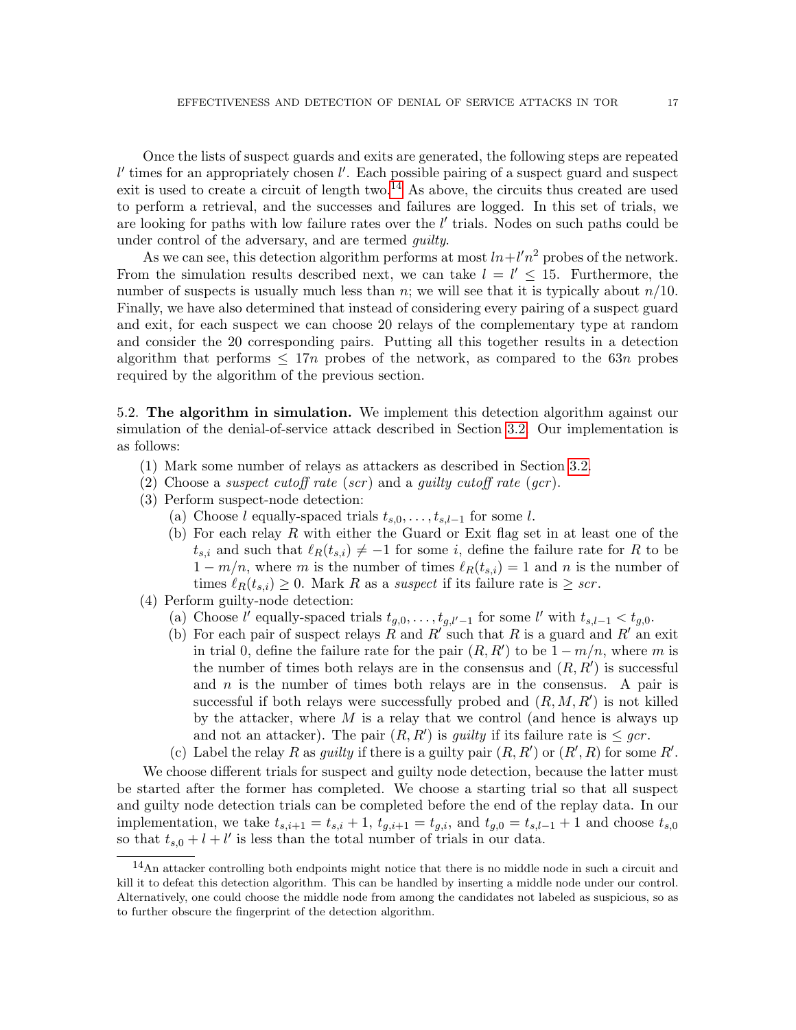Once the lists of suspect guards and exits are generated, the following steps are repeated  $l'$  times for an appropriately chosen  $l'$ . Each possible pairing of a suspect guard and suspect exit is used to create a circuit of length two.<sup>[14](#page-16-0)</sup> As above, the circuits thus created are used to perform a retrieval, and the successes and failures are logged. In this set of trials, we are looking for paths with low failure rates over the  $l'$  trials. Nodes on such paths could be under control of the adversary, and are termed guilty.

As we can see, this detection algorithm performs at most  $ln+l'n^2$  probes of the network. From the simulation results described next, we can take  $l = l' \leq 15$ . Furthermore, the number of suspects is usually much less than n; we will see that it is typically about  $n/10$ . Finally, we have also determined that instead of considering every pairing of a suspect guard and exit, for each suspect we can choose 20 relays of the complementary type at random and consider the 20 corresponding pairs. Putting all this together results in a detection algorithm that performs  $\leq 17n$  probes of the network, as compared to the 63n probes required by the algorithm of the previous section.

5.2. The algorithm in simulation. We implement this detection algorithm against our simulation of the denial-of-service attack described in Section [3.2.](#page-9-0) Our implementation is as follows:

- (1) Mark some number of relays as attackers as described in Section [3.2.](#page-9-0)
- (2) Choose a *suspect cutoff rate* (scr) and a *quilty cutoff rate* (gcr).
- (3) Perform suspect-node detection:
	- (a) Choose l equally-spaced trials  $t_{s,0}, \ldots, t_{s,l-1}$  for some l.
	- (b) For each relay  $R$  with either the Guard or Exit flag set in at least one of the  $t_{s,i}$  and such that  $\ell_R(t_{s,i}) \neq -1$  for some i, define the failure rate for R to be  $1 - m/n$ , where m is the number of times  $\ell_R(t_{s,i}) = 1$  and n is the number of times  $\ell_R(t_{s,i}) \geq 0$ . Mark R as a suspect if its failure rate is  $\geq$  scr.
- (4) Perform guilty-node detection:
	- (a) Choose l' equally-spaced trials  $t_{g,0}, \ldots, t_{g,l'-1}$  for some l' with  $t_{s,l-1} < t_{g,0}$ .
	- (b) For each pair of suspect relays  $R$  and  $R'$  such that  $R$  is a guard and  $R'$  an exit in trial 0, define the failure rate for the pair  $(R, R')$  to be  $1 - m/n$ , where m is the number of times both relays are in the consensus and  $(R, R')$  is successful and  $n$  is the number of times both relays are in the consensus. A pair is successful if both relays were successfully probed and  $(R, M, R')$  is not killed by the attacker, where  $M$  is a relay that we control (and hence is always up and not an attacker). The pair  $(R, R')$  is *guilty* if its failure rate is  $\leq gcr$ .
	- (c) Label the relay R as *guilty* if there is a guilty pair  $(R, R')$  or  $(R', R)$  for some R'.

We choose different trials for suspect and guilty node detection, because the latter must be started after the former has completed. We choose a starting trial so that all suspect and guilty node detection trials can be completed before the end of the replay data. In our implementation, we take  $t_{s,i+1} = t_{s,i} + 1$ ,  $t_{g,i+1} = t_{g,i}$ , and  $t_{g,0} = t_{s,l-1} + 1$  and choose  $t_{s,0}$ so that  $t_{s,0} + l + l'$  is less than the total number of trials in our data.

<span id="page-16-0"></span><sup>14</sup>An attacker controlling both endpoints might notice that there is no middle node in such a circuit and kill it to defeat this detection algorithm. This can be handled by inserting a middle node under our control. Alternatively, one could choose the middle node from among the candidates not labeled as suspicious, so as to further obscure the fingerprint of the detection algorithm.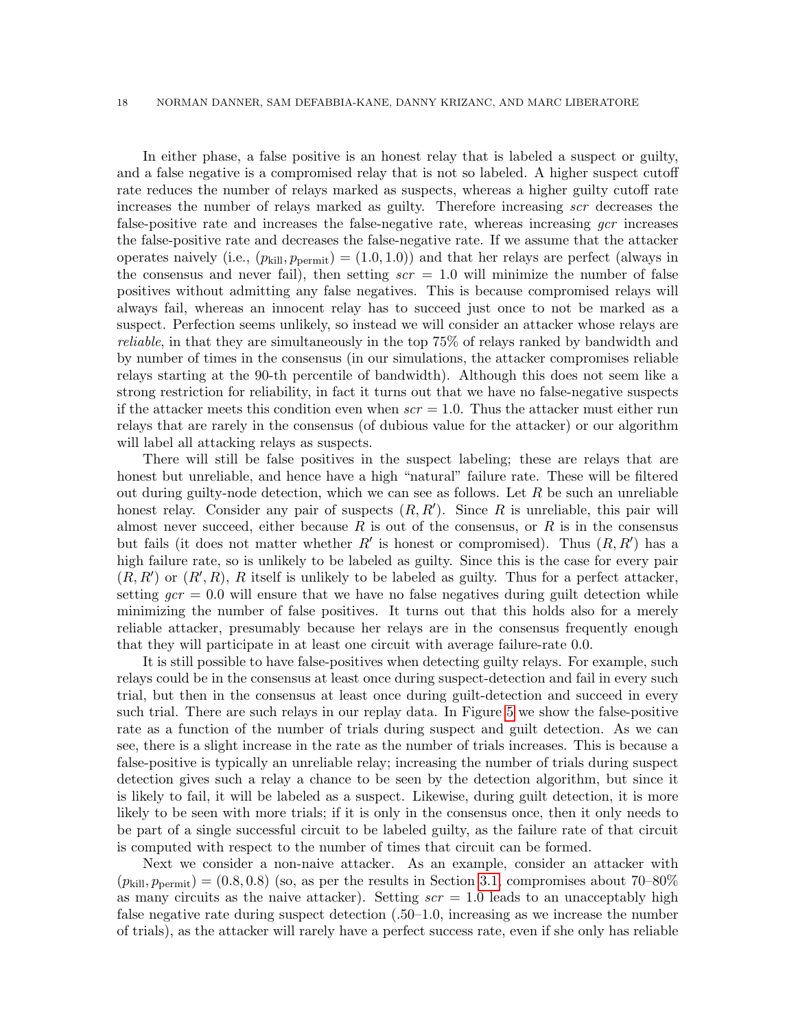In either phase, a false positive is an honest relay that is labeled a suspect or guilty, and a false negative is a compromised relay that is not so labeled. A higher suspect cutoff rate reduces the number of relays marked as suspects, whereas a higher guilty cutoff rate increases the number of relays marked as guilty. Therefore increasing scr decreases the false-positive rate and increases the false-negative rate, whereas increasing gcr increases the false-positive rate and decreases the false-negative rate. If we assume that the attacker operates naively (i.e.,  $(p_{\text{kill}}, p_{\text{permit}}) = (1.0, 1.0)$ ) and that her relays are perfect (always in the consensus and never fail), then setting  $scr = 1.0$  will minimize the number of false positives without admitting any false negatives. This is because compromised relays will always fail, whereas an innocent relay has to succeed just once to not be marked as a suspect. Perfection seems unlikely, so instead we will consider an attacker whose relays are reliable, in that they are simultaneously in the top 75% of relays ranked by bandwidth and by number of times in the consensus (in our simulations, the attacker compromises reliable relays starting at the 90-th percentile of bandwidth). Although this does not seem like a strong restriction for reliability, in fact it turns out that we have no false-negative suspects if the attacker meets this condition even when  $scr = 1.0$ . Thus the attacker must either run relays that are rarely in the consensus (of dubious value for the attacker) or our algorithm will label all attacking relays as suspects.

There will still be false positives in the suspect labeling; these are relays that are honest but unreliable, and hence have a high "natural" failure rate. These will be filtered out during guilty-node detection, which we can see as follows. Let  $R$  be such an unreliable honest relay. Consider any pair of suspects  $(R, R')$ . Since R is unreliable, this pair will almost never succeed, either because R is out of the consensus, or R is in the consensus but fails (it does not matter whether  $R'$  is honest or compromised). Thus  $(R, R')$  has a high failure rate, so is unlikely to be labeled as guilty. Since this is the case for every pair  $(R, R')$  or  $(R', R)$ , R itself is unlikely to be labeled as guilty. Thus for a perfect attacker, setting  $gcr = 0.0$  will ensure that we have no false negatives during guilt detection while minimizing the number of false positives. It turns out that this holds also for a merely reliable attacker, presumably because her relays are in the consensus frequently enough that they will participate in at least one circuit with average failure-rate 0.0.

It is still possible to have false-positives when detecting guilty relays. For example, such relays could be in the consensus at least once during suspect-detection and fail in every such trial, but then in the consensus at least once during guilt-detection and succeed in every such trial. There are such relays in our replay data. In Figure [5](#page-18-0) we show the false-positive rate as a function of the number of trials during suspect and guilt detection. As we can see, there is a slight increase in the rate as the number of trials increases. This is because a false-positive is typically an unreliable relay; increasing the number of trials during suspect detection gives such a relay a chance to be seen by the detection algorithm, but since it is likely to fail, it will be labeled as a suspect. Likewise, during guilt detection, it is more likely to be seen with more trials; if it is only in the consensus once, then it only needs to be part of a single successful circuit to be labeled guilty, as the failure rate of that circuit is computed with respect to the number of times that circuit can be formed.

Next we consider a non-naive attacker. As an example, consider an attacker with  $(p_{\text{kill}}, p_{\text{permit}}) = (0.8, 0.8)$  (so, as per the results in Section [3.1,](#page-6-1) compromises about 70–80%) as many circuits as the naive attacker). Setting  $scr = 1.0$  leads to an unacceptably high false negative rate during suspect detection (.50–1.0, increasing as we increase the number of trials), as the attacker will rarely have a perfect success rate, even if she only has reliable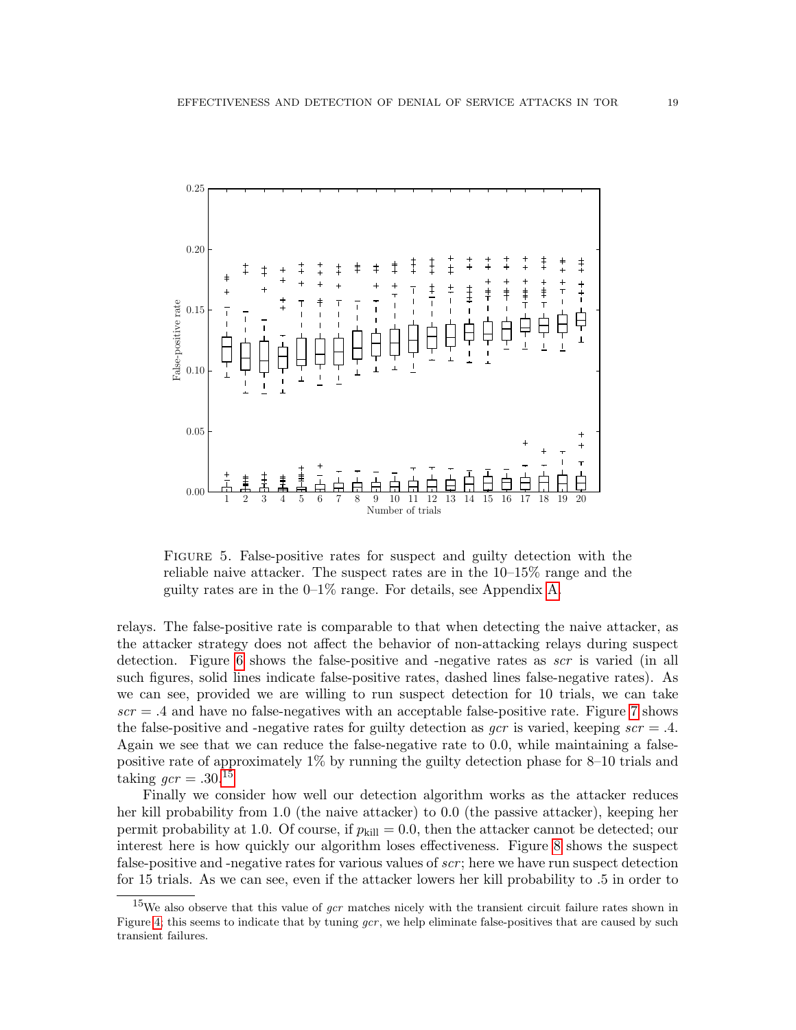<span id="page-18-0"></span>

Figure 5. False-positive rates for suspect and guilty detection with the reliable naive attacker. The suspect rates are in the 10–15% range and the guilty rates are in the 0–1% range. For details, see Appendix [A.](#page-24-0)

relays. The false-positive rate is comparable to that when detecting the naive attacker, as the attacker strategy does not affect the behavior of non-attacking relays during suspect detection. Figure [6](#page-19-0) shows the false-positive and -negative rates as scr is varied (in all such figures, solid lines indicate false-positive rates, dashed lines false-negative rates). As we can see, provided we are willing to run suspect detection for 10 trials, we can take  $scr = .4$  and have no false-negatives with an acceptable false-positive rate. Figure [7](#page-20-1) shows the false-positive and -negative rates for guilty detection as gcr is varied, keeping  $scr = .4$ . Again we see that we can reduce the false-negative rate to 0.0, while maintaining a falsepositive rate of approximately 1% by running the guilty detection phase for 8–10 trials and taking  $qcr = .30$ <sup>[15](#page-18-1)</sup>

Finally we consider how well our detection algorithm works as the attacker reduces her kill probability from 1.0 (the naive attacker) to 0.0 (the passive attacker), keeping her permit probability at 1.0. Of course, if  $p_{\text{kill}} = 0.0$ , then the attacker cannot be detected; our interest here is how quickly our algorithm loses effectiveness. Figure [8](#page-21-0) shows the suspect false-positive and -negative rates for various values of scr; here we have run suspect detection for 15 trials. As we can see, even if the attacker lowers her kill probability to .5 in order to

<span id="page-18-1"></span><sup>&</sup>lt;sup>15</sup>We also observe that this value of  $gcr$  matches nicely with the transient circuit failure rates shown in Figure [4;](#page-14-0) this seems to indicate that by tuning  $gcr$ , we help eliminate false-positives that are caused by such transient failures.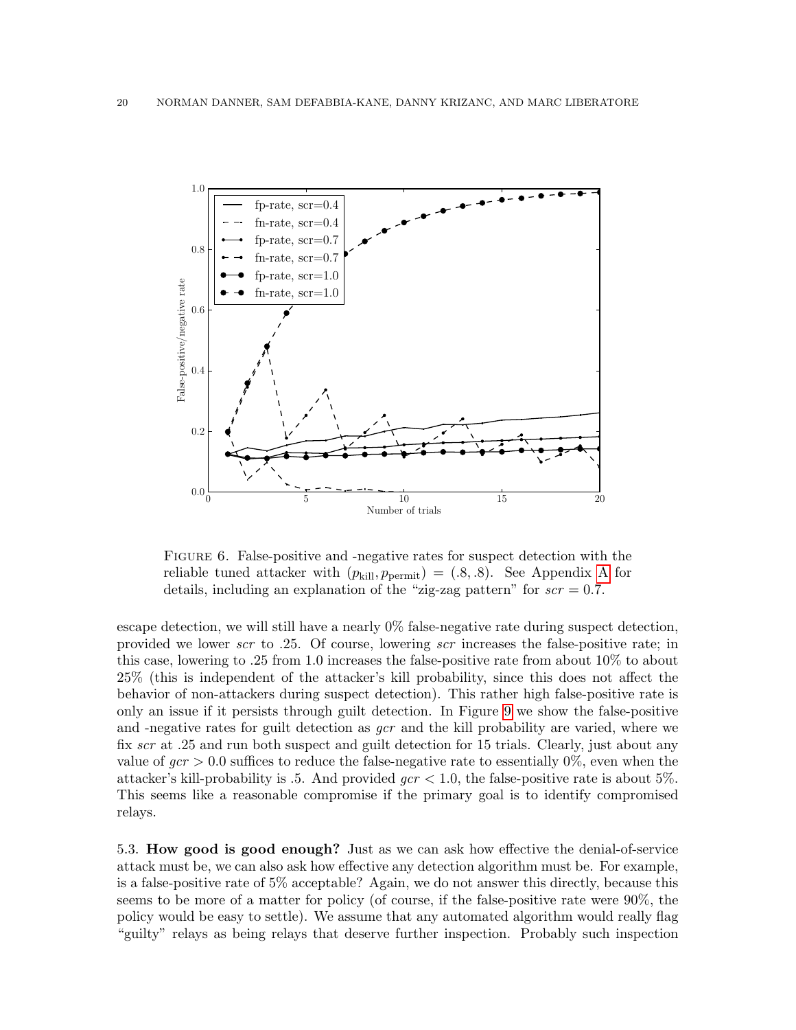<span id="page-19-0"></span>

Figure 6. False-positive and -negative rates for suspect detection with the reliable tuned attacker with  $(p_{\text{kill}}, p_{\text{permit}}) = (.8, .8)$ . See [A](#page-24-0)ppendix A for details, including an explanation of the "zig-zag pattern" for  $scr = 0.7$ .

escape detection, we will still have a nearly  $0\%$  false-negative rate during suspect detection, provided we lower scr to .25. Of course, lowering scr increases the false-positive rate; in this case, lowering to .25 from 1.0 increases the false-positive rate from about 10% to about 25% (this is independent of the attacker's kill probability, since this does not affect the behavior of non-attackers during suspect detection). This rather high false-positive rate is only an issue if it persists through guilt detection. In Figure [9](#page-22-0) we show the false-positive and -negative rates for guilt detection as *gcr* and the kill probability are varied, where we fix scr at .25 and run both suspect and guilt detection for 15 trials. Clearly, just about any value of  $qcr > 0.0$  suffices to reduce the false-negative rate to essentially  $0\%$ , even when the attacker's kill-probability is .5. And provided  $qcr < 1.0$ , the false-positive rate is about 5%. This seems like a reasonable compromise if the primary goal is to identify compromised relays.

5.3. How good is good enough? Just as we can ask how effective the denial-of-service attack must be, we can also ask how effective any detection algorithm must be. For example, is a false-positive rate of 5% acceptable? Again, we do not answer this directly, because this seems to be more of a matter for policy (of course, if the false-positive rate were 90%, the policy would be easy to settle). We assume that any automated algorithm would really flag "guilty" relays as being relays that deserve further inspection. Probably such inspection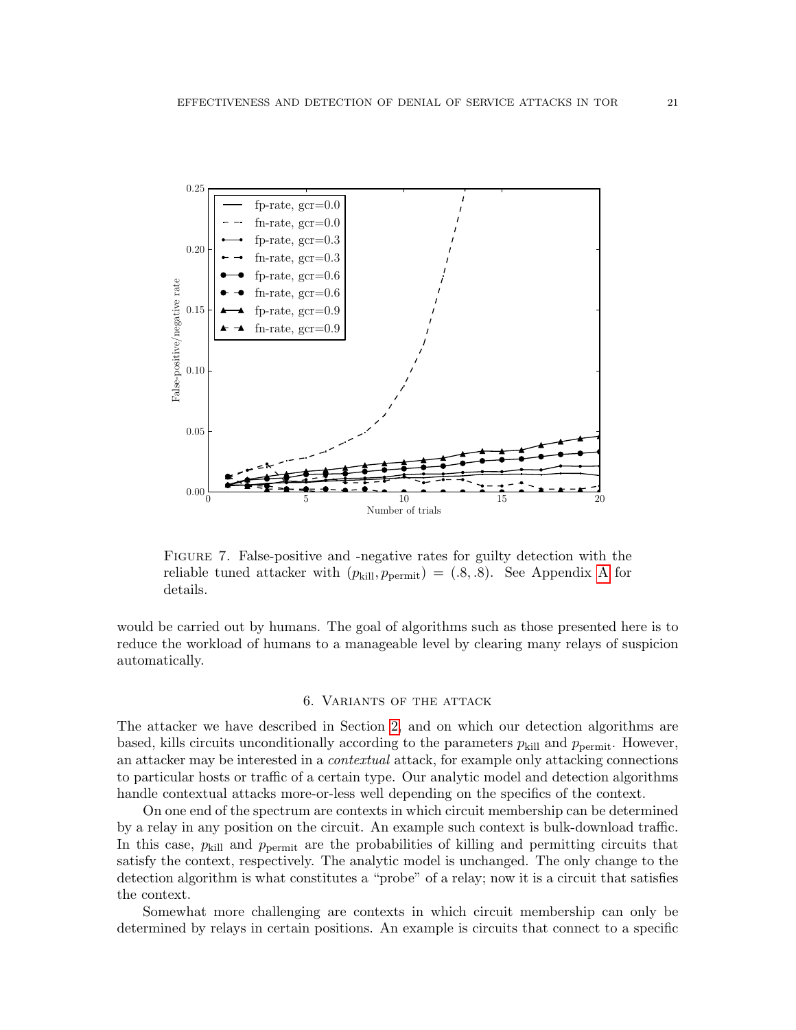<span id="page-20-1"></span>

Figure 7. False-positive and -negative rates for guilty detection with the reliable tuned attacker with  $(p_{\text{kill}}, p_{\text{permit}}) = (.8, .8)$ . See [A](#page-24-0)ppendix A for details.

would be carried out by humans. The goal of algorithms such as those presented here is to reduce the workload of humans to a manageable level by clearing many relays of suspicion automatically.

# 6. Variants of the attack

<span id="page-20-0"></span>The attacker we have described in Section [2,](#page-1-1) and on which our detection algorithms are based, kills circuits unconditionally according to the parameters  $p_{\text{kill}}$  and  $p_{\text{permit}}$ . However, an attacker may be interested in a *contextual* attack, for example only attacking connections to particular hosts or traffic of a certain type. Our analytic model and detection algorithms handle contextual attacks more-or-less well depending on the specifics of the context.

On one end of the spectrum are contexts in which circuit membership can be determined by a relay in any position on the circuit. An example such context is bulk-download traffic. In this case,  $p_{\text{kill}}$  and  $p_{\text{permit}}$  are the probabilities of killing and permitting circuits that satisfy the context, respectively. The analytic model is unchanged. The only change to the detection algorithm is what constitutes a "probe" of a relay; now it is a circuit that satisfies the context.

Somewhat more challenging are contexts in which circuit membership can only be determined by relays in certain positions. An example is circuits that connect to a specific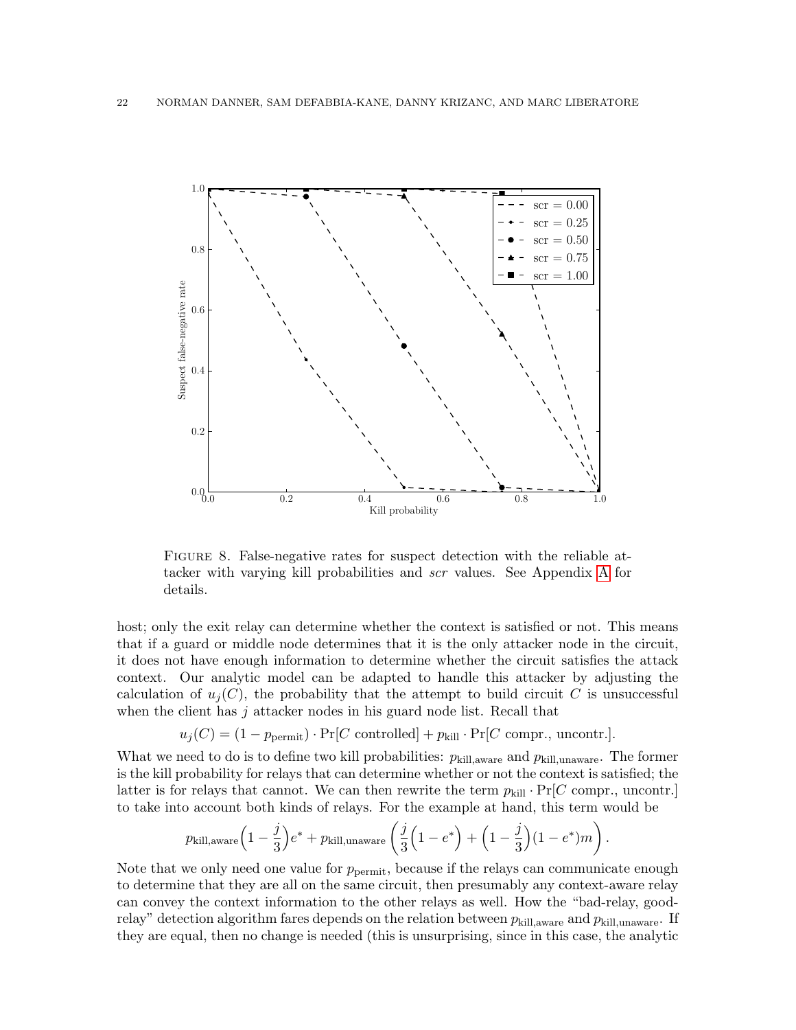<span id="page-21-0"></span>

Figure 8. False-negative rates for suspect detection with the reliable attacker with varying kill probabilities and scr values. See Appendix [A](#page-24-0) for details.

host; only the exit relay can determine whether the context is satisfied or not. This means that if a guard or middle node determines that it is the only attacker node in the circuit, it does not have enough information to determine whether the circuit satisfies the attack context. Our analytic model can be adapted to handle this attacker by adjusting the calculation of  $u_i(C)$ , the probability that the attempt to build circuit C is unsuccessful when the client has  $j$  attacker nodes in his guard node list. Recall that

$$
u_j(C) = (1 - p_{\text{permit}}) \cdot \Pr[C \text{ controlled}] + p_{\text{kill}} \cdot \Pr[C \text{ compr.}, \text{uncontr.}].
$$

What we need to do is to define two kill probabilities:  $p_{\text{kill,away}}$  and  $p_{\text{kill,unaware}}$ . The former is the kill probability for relays that can determine whether or not the context is satisfied; the latter is for relays that cannot. We can then rewrite the term  $p_{\text{kill}} \cdot \Pr[C \text{ compr.}, \text{uncontr.}]$ to take into account both kinds of relays. For the example at hand, this term would be

$$
p_{\text{kill},\text{aware}}\left(1-\frac{j}{3}\right)e^* + p_{\text{kill},\text{unaware}}\left(\frac{j}{3}\left(1-e^*\right) + \left(1-\frac{j}{3}\right)(1-e^*)m\right).
$$

Note that we only need one value for  $p_{\text{permit}}$ , because if the relays can communicate enough to determine that they are all on the same circuit, then presumably any context-aware relay can convey the context information to the other relays as well. How the "bad-relay, goodrelay" detection algorithm fares depends on the relation between  $p_{\text{kill,}wave}$  and  $p_{\text{kill,}wave}$ . If they are equal, then no change is needed (this is unsurprising, since in this case, the analytic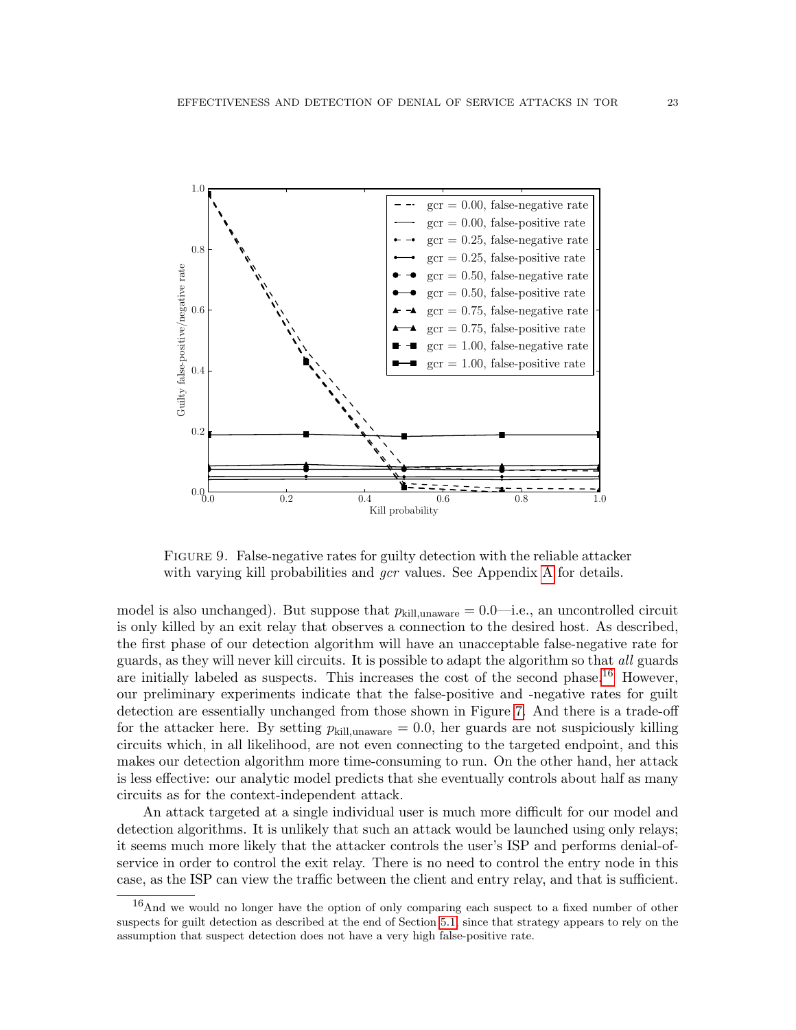<span id="page-22-0"></span>

Figure 9. False-negative rates for guilty detection with the reliable attacker with varying kill probabilities and *gcr* values. See [A](#page-24-0)ppendix A for details.

model is also unchanged). But suppose that  $p_{kill,unaware} = 0.0$ —i.e., an uncontrolled circuit is only killed by an exit relay that observes a connection to the desired host. As described, the first phase of our detection algorithm will have an unacceptable false-negative rate for guards, as they will never kill circuits. It is possible to adapt the algorithm so that all guards are initially labeled as suspects. This increases the cost of the second phase.<sup>[16](#page-22-1)</sup> However, our preliminary experiments indicate that the false-positive and -negative rates for guilt detection are essentially unchanged from those shown in Figure [7.](#page-20-1) And there is a trade-off for the attacker here. By setting  $p_{\text{kill,unaware}} = 0.0$ , her guards are not suspiciously killing circuits which, in all likelihood, are not even connecting to the targeted endpoint, and this makes our detection algorithm more time-consuming to run. On the other hand, her attack is less effective: our analytic model predicts that she eventually controls about half as many circuits as for the context-independent attack.

An attack targeted at a single individual user is much more difficult for our model and detection algorithms. It is unlikely that such an attack would be launched using only relays; it seems much more likely that the attacker controls the user's ISP and performs denial-ofservice in order to control the exit relay. There is no need to control the entry node in this case, as the ISP can view the traffic between the client and entry relay, and that is sufficient.

<span id="page-22-1"></span><sup>&</sup>lt;sup>16</sup>And we would no longer have the option of only comparing each suspect to a fixed number of other suspects for guilt detection as described at the end of Section [5.1,](#page-15-2) since that strategy appears to rely on the assumption that suspect detection does not have a very high false-positive rate.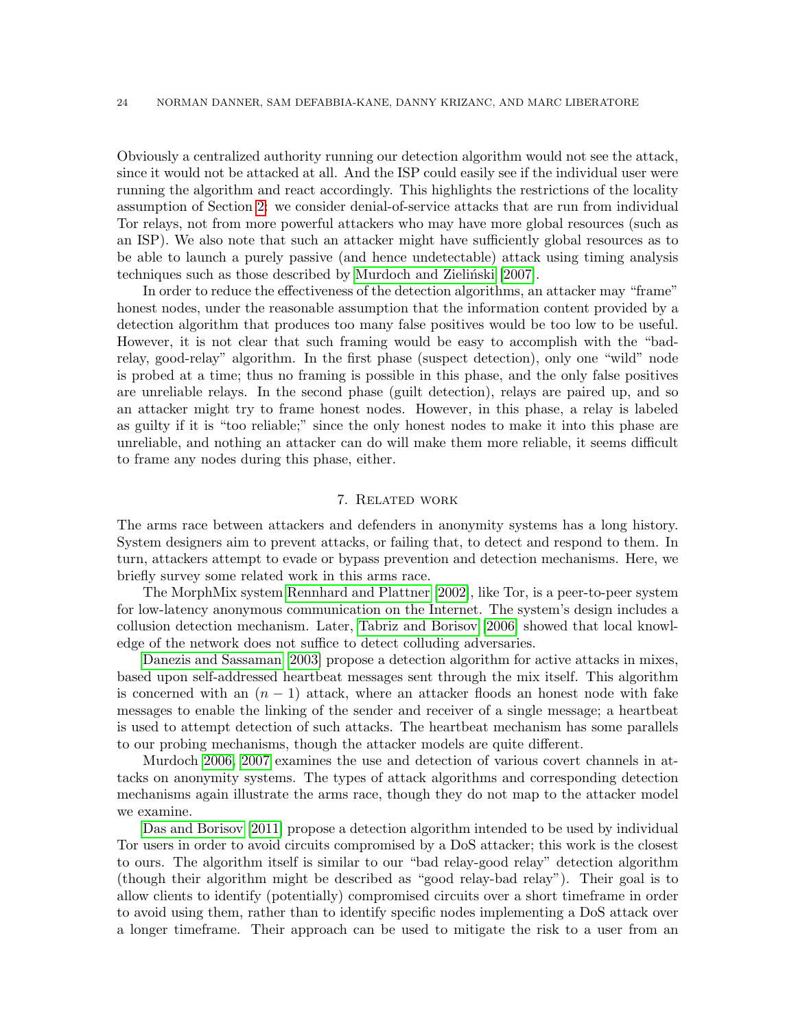Obviously a centralized authority running our detection algorithm would not see the attack, since it would not be attacked at all. And the ISP could easily see if the individual user were running the algorithm and react accordingly. This highlights the restrictions of the locality assumption of Section [2:](#page-1-1) we consider denial-of-service attacks that are run from individual Tor relays, not from more powerful attackers who may have more global resources (such as an ISP). We also note that such an attacker might have sufficiently global resources as to be able to launch a purely passive (and hence undetectable) attack using timing analysis techniques such as those described by Murdoch and Zieliński  $[2007]$ .

In order to reduce the effectiveness of the detection algorithms, an attacker may "frame" honest nodes, under the reasonable assumption that the information content provided by a detection algorithm that produces too many false positives would be too low to be useful. However, it is not clear that such framing would be easy to accomplish with the "badrelay, good-relay" algorithm. In the first phase (suspect detection), only one "wild" node is probed at a time; thus no framing is possible in this phase, and the only false positives are unreliable relays. In the second phase (guilt detection), relays are paired up, and so an attacker might try to frame honest nodes. However, in this phase, a relay is labeled as guilty if it is "too reliable;" since the only honest nodes to make it into this phase are unreliable, and nothing an attacker can do will make them more reliable, it seems difficult to frame any nodes during this phase, either.

#### 7. Related work

<span id="page-23-0"></span>The arms race between attackers and defenders in anonymity systems has a long history. System designers aim to prevent attacks, or failing that, to detect and respond to them. In turn, attackers attempt to evade or bypass prevention and detection mechanisms. Here, we briefly survey some related work in this arms race.

The MorphMix system [Rennhard and Plattner](#page-26-10) [\[2002\]](#page-26-10), like Tor, is a peer-to-peer system for low-latency anonymous communication on the Internet. The system's design includes a collusion detection mechanism. Later, [Tabriz and Borisov](#page-27-3) [\[2006\]](#page-27-3) showed that local knowledge of the network does not suffice to detect colluding adversaries.

[Danezis and Sassaman](#page-26-11) [\[2003\]](#page-26-11) propose a detection algorithm for active attacks in mixes, based upon self-addressed heartbeat messages sent through the mix itself. This algorithm is concerned with an  $(n - 1)$  attack, where an attacker floods an honest node with fake messages to enable the linking of the sender and receiver of a single message; a heartbeat is used to attempt detection of such attacks. The heartbeat mechanism has some parallels to our probing mechanisms, though the attacker models are quite different.

Murdoch [2006,](#page-26-12) [2007](#page-26-13) examines the use and detection of various covert channels in attacks on anonymity systems. The types of attack algorithms and corresponding detection mechanisms again illustrate the arms race, though they do not map to the attacker model we examine.

[Das and Borisov](#page-26-4) [\[2011\]](#page-26-4) propose a detection algorithm intended to be used by individual Tor users in order to avoid circuits compromised by a DoS attacker; this work is the closest to ours. The algorithm itself is similar to our "bad relay-good relay" detection algorithm (though their algorithm might be described as "good relay-bad relay"). Their goal is to allow clients to identify (potentially) compromised circuits over a short timeframe in order to avoid using them, rather than to identify specific nodes implementing a DoS attack over a longer timeframe. Their approach can be used to mitigate the risk to a user from an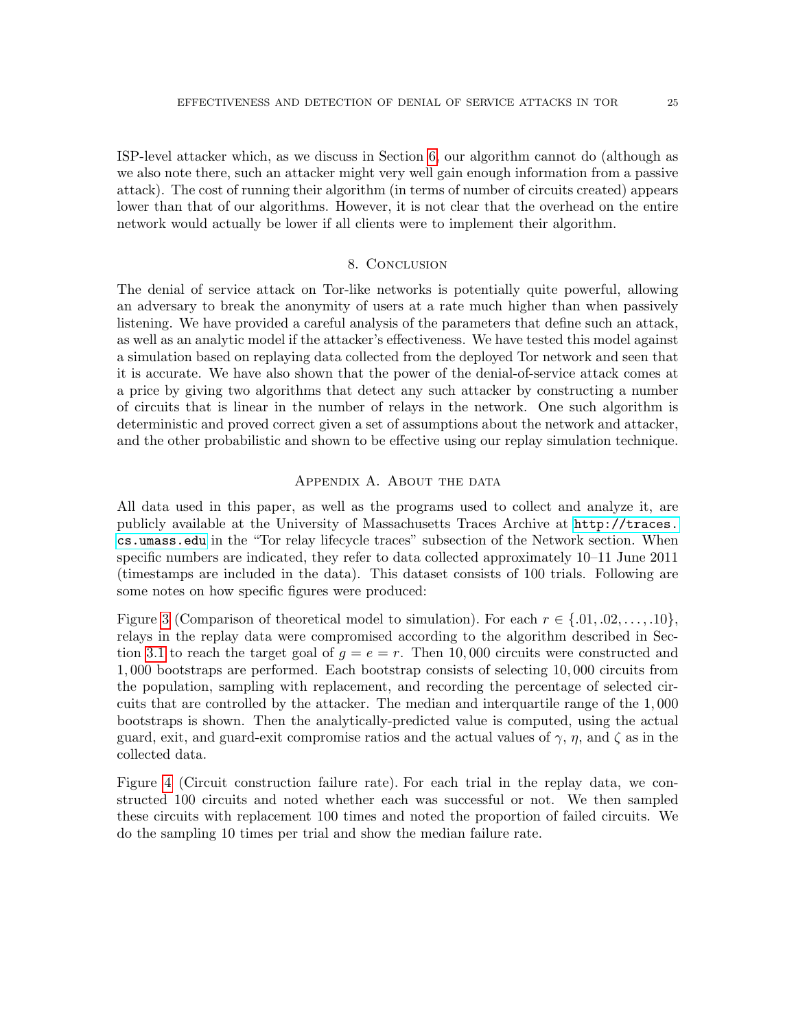ISP-level attacker which, as we discuss in Section [6,](#page-20-0) our algorithm cannot do (although as we also note there, such an attacker might very well gain enough information from a passive attack). The cost of running their algorithm (in terms of number of circuits created) appears lower than that of our algorithms. However, it is not clear that the overhead on the entire network would actually be lower if all clients were to implement their algorithm.

## 8. Conclusion

The denial of service attack on Tor-like networks is potentially quite powerful, allowing an adversary to break the anonymity of users at a rate much higher than when passively listening. We have provided a careful analysis of the parameters that define such an attack, as well as an analytic model if the attacker's effectiveness. We have tested this model against a simulation based on replaying data collected from the deployed Tor network and seen that it is accurate. We have also shown that the power of the denial-of-service attack comes at a price by giving two algorithms that detect any such attacker by constructing a number of circuits that is linear in the number of relays in the network. One such algorithm is deterministic and proved correct given a set of assumptions about the network and attacker, and the other probabilistic and shown to be effective using our replay simulation technique.

# APPENDIX A. ABOUT THE DATA

<span id="page-24-0"></span>All data used in this paper, as well as the programs used to collect and analyze it, are publicly available at the University of Massachusetts Traces Archive at [http://traces.](http://traces.cs.umass.edu) [cs.umass.edu](http://traces.cs.umass.edu) in the "Tor relay lifecycle traces" subsection of the Network section. When specific numbers are indicated, they refer to data collected approximately 10–11 June 2011 (timestamps are included in the data). This dataset consists of 100 trials. Following are some notes on how specific figures were produced:

Figure [3](#page-10-0) (Comparison of theoretical model to simulation). For each  $r \in \{.01, .02, \ldots, .10\}$ , relays in the replay data were compromised according to the algorithm described in Sec-tion [3.1](#page-6-1) to reach the target goal of  $q = e = r$ . Then 10,000 circuits were constructed and 1, 000 bootstraps are performed. Each bootstrap consists of selecting 10, 000 circuits from the population, sampling with replacement, and recording the percentage of selected circuits that are controlled by the attacker. The median and interquartile range of the 1, 000 bootstraps is shown. Then the analytically-predicted value is computed, using the actual guard, exit, and guard-exit compromise ratios and the actual values of  $\gamma$ ,  $\eta$ , and  $\zeta$  as in the collected data.

Figure [4](#page-14-0) (Circuit construction failure rate). For each trial in the replay data, we constructed 100 circuits and noted whether each was successful or not. We then sampled these circuits with replacement 100 times and noted the proportion of failed circuits. We do the sampling 10 times per trial and show the median failure rate.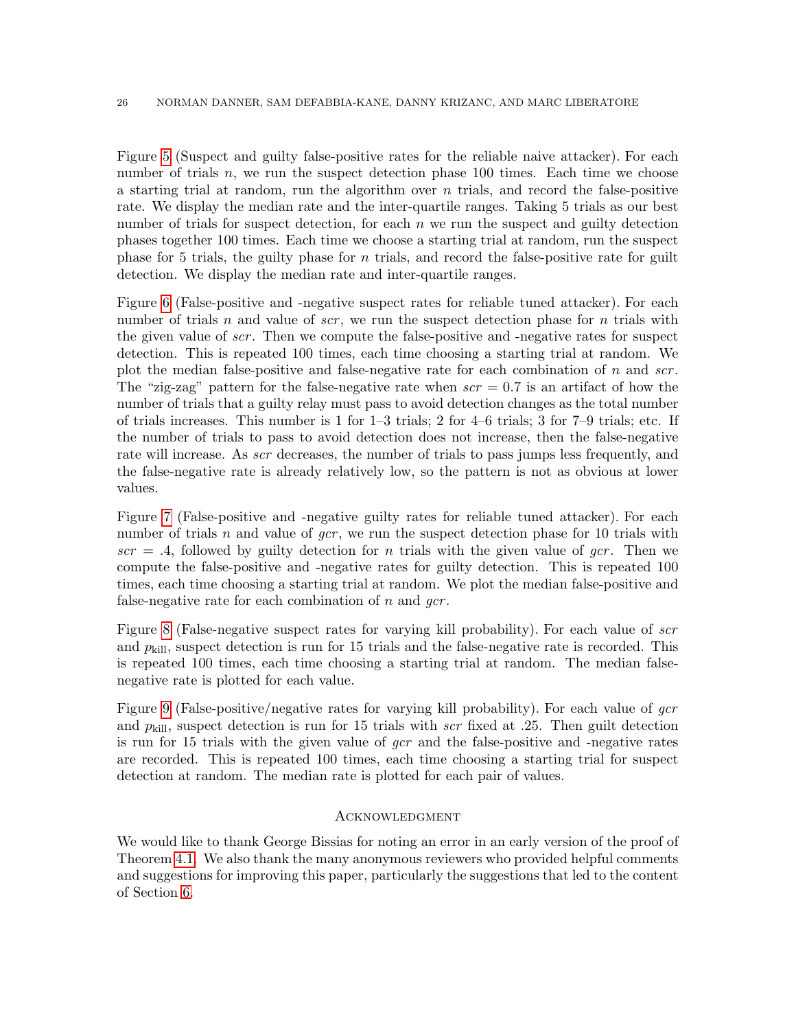Figure [5](#page-18-0) (Suspect and guilty false-positive rates for the reliable naive attacker). For each number of trials  $n$ , we run the suspect detection phase 100 times. Each time we choose a starting trial at random, run the algorithm over  $n$  trials, and record the false-positive rate. We display the median rate and the inter-quartile ranges. Taking 5 trials as our best number of trials for suspect detection, for each  $n$  we run the suspect and guilty detection phases together 100 times. Each time we choose a starting trial at random, run the suspect phase for 5 trials, the guilty phase for  $n$  trials, and record the false-positive rate for guilt detection. We display the median rate and inter-quartile ranges.

Figure [6](#page-19-0) (False-positive and -negative suspect rates for reliable tuned attacker). For each number of trials n and value of  $scr$ , we run the suspect detection phase for n trials with the given value of  $scr$ . Then we compute the false-positive and -negative rates for suspect detection. This is repeated 100 times, each time choosing a starting trial at random. We plot the median false-positive and false-negative rate for each combination of  $n$  and  $scr$ . The "zig-zag" pattern for the false-negative rate when  $scr = 0.7$  is an artifact of how the number of trials that a guilty relay must pass to avoid detection changes as the total number of trials increases. This number is 1 for 1–3 trials; 2 for 4–6 trials; 3 for 7–9 trials; etc. If the number of trials to pass to avoid detection does not increase, then the false-negative rate will increase. As *scr* decreases, the number of trials to pass jumps less frequently, and the false-negative rate is already relatively low, so the pattern is not as obvious at lower values.

Figure [7](#page-20-1) (False-positive and -negative guilty rates for reliable tuned attacker). For each number of trials n and value of  $qcr$ , we run the suspect detection phase for 10 trials with  $scr = .4$ , followed by guilty detection for *n* trials with the given value of gcr. Then we compute the false-positive and -negative rates for guilty detection. This is repeated 100 times, each time choosing a starting trial at random. We plot the median false-positive and false-negative rate for each combination of  $n$  and  $gcr$ .

Figure [8](#page-21-0) (False-negative suspect rates for varying kill probability). For each value of scr and  $p_{\text{kill}}$ , suspect detection is run for 15 trials and the false-negative rate is recorded. This is repeated 100 times, each time choosing a starting trial at random. The median falsenegative rate is plotted for each value.

Figure [9](#page-22-0) (False-positive/negative rates for varying kill probability). For each value of gcr and  $p_{\text{kill}}$ , suspect detection is run for 15 trials with scr fixed at .25. Then guilt detection is run for 15 trials with the given value of  $gcr$  and the false-positive and -negative rates are recorded. This is repeated 100 times, each time choosing a starting trial for suspect detection at random. The median rate is plotted for each pair of values.

## **ACKNOWLEDGMENT**

We would like to thank George Bissias for noting an error in an early version of the proof of Theorem [4.1.](#page-12-0) We also thank the many anonymous reviewers who provided helpful comments and suggestions for improving this paper, particularly the suggestions that led to the content of Section [6.](#page-20-0)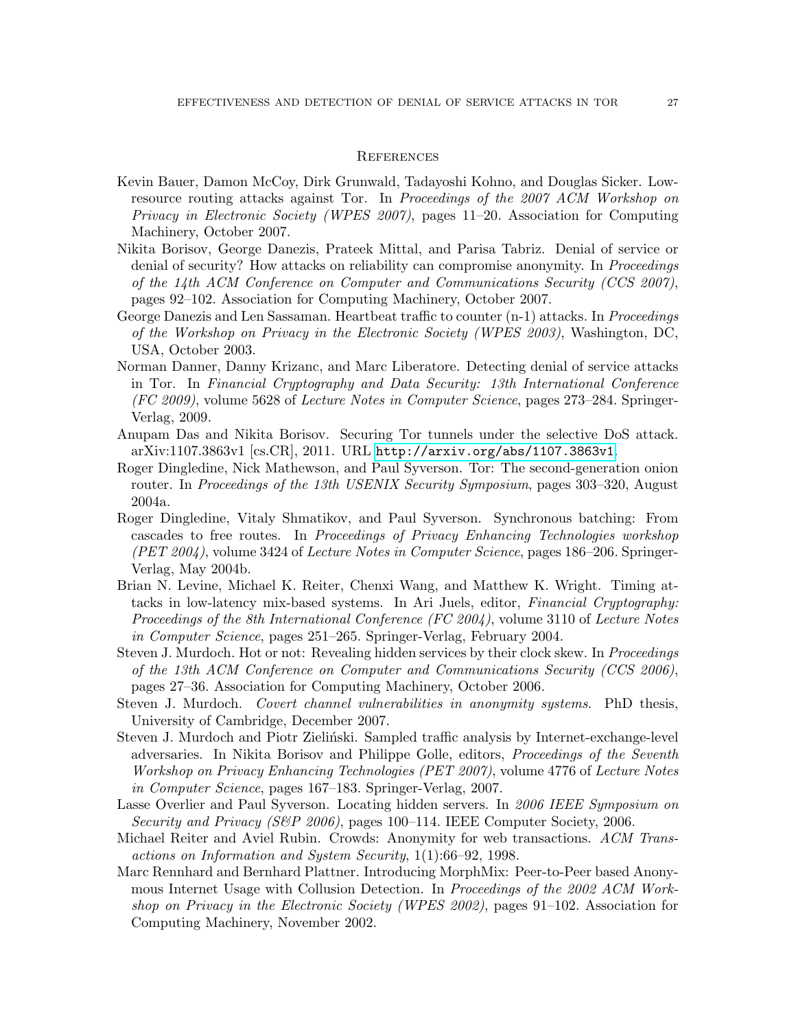#### **REFERENCES**

- <span id="page-26-9"></span>Kevin Bauer, Damon McCoy, Dirk Grunwald, Tadayoshi Kohno, and Douglas Sicker. Lowresource routing attacks against Tor. In Proceedings of the 2007 ACM Workshop on Privacy in Electronic Society (WPES 2007), pages 11–20. Association for Computing Machinery, October 2007.
- <span id="page-26-3"></span>Nikita Borisov, George Danezis, Prateek Mittal, and Parisa Tabriz. Denial of service or denial of security? How attacks on reliability can compromise anonymity. In *Proceedings* of the 14th ACM Conference on Computer and Communications Security (CCS 2007), pages 92–102. Association for Computing Machinery, October 2007.
- <span id="page-26-11"></span>George Danezis and Len Sassaman. Heartbeat traffic to counter (n-1) attacks. In *Proceedings* of the Workshop on Privacy in the Electronic Society (WPES 2003), Washington, DC, USA, October 2003.
- <span id="page-26-7"></span>Norman Danner, Danny Krizanc, and Marc Liberatore. Detecting denial of service attacks in Tor. In Financial Cryptography and Data Security: 13th International Conference (FC 2009), volume 5628 of Lecture Notes in Computer Science, pages 273–284. Springer-Verlag, 2009.
- <span id="page-26-4"></span>Anupam Das and Nikita Borisov. Securing Tor tunnels under the selective DoS attack. arXiv:1107.3863v1 [cs.CR], 2011. URL <http://arxiv.org/abs/1107.3863v1>.
- <span id="page-26-0"></span>Roger Dingledine, Nick Mathewson, and Paul Syverson. Tor: The second-generation onion router. In Proceedings of the 13th USENIX Security Symposium, pages 303–320, August 2004a.
- <span id="page-26-1"></span>Roger Dingledine, Vitaly Shmatikov, and Paul Syverson. Synchronous batching: From cascades to free routes. In Proceedings of Privacy Enhancing Technologies workshop  $(PET 2004)$ , volume 3424 of Lecture Notes in Computer Science, pages 186–206. Springer-Verlag, May 2004b.
- <span id="page-26-5"></span>Brian N. Levine, Michael K. Reiter, Chenxi Wang, and Matthew K. Wright. Timing attacks in low-latency mix-based systems. In Ari Juels, editor, Financial Cryptography: Proceedings of the 8th International Conference (FC 2004), volume 3110 of Lecture Notes in Computer Science, pages 251–265. Springer-Verlag, February 2004.
- <span id="page-26-12"></span>Steven J. Murdoch. Hot or not: Revealing hidden services by their clock skew. In Proceedings of the 13th ACM Conference on Computer and Communications Security (CCS 2006), pages 27–36. Association for Computing Machinery, October 2006.
- <span id="page-26-13"></span>Steven J. Murdoch. *Covert channel vulnerabilities in anonymity systems*. PhD thesis, University of Cambridge, December 2007.
- <span id="page-26-6"></span>Steven J. Murdoch and Piotr Zieliński. Sampled traffic analysis by Internet-exchange-level adversaries. In Nikita Borisov and Philippe Golle, editors, Proceedings of the Seventh Workshop on Privacy Enhancing Technologies (PET 2007), volume 4776 of Lecture Notes in Computer Science, pages 167–183. Springer-Verlag, 2007.
- <span id="page-26-8"></span>Lasse Overlier and Paul Syverson. Locating hidden servers. In 2006 IEEE Symposium on Security and Privacy (S&P 2006), pages 100–114. IEEE Computer Society, 2006.
- <span id="page-26-2"></span>Michael Reiter and Aviel Rubin. Crowds: Anonymity for web transactions. ACM Transactions on Information and System Security, 1(1):66–92, 1998.
- <span id="page-26-10"></span>Marc Rennhard and Bernhard Plattner. Introducing MorphMix: Peer-to-Peer based Anonymous Internet Usage with Collusion Detection. In Proceedings of the 2002 ACM Workshop on Privacy in the Electronic Society (WPES 2002), pages 91–102. Association for Computing Machinery, November 2002.